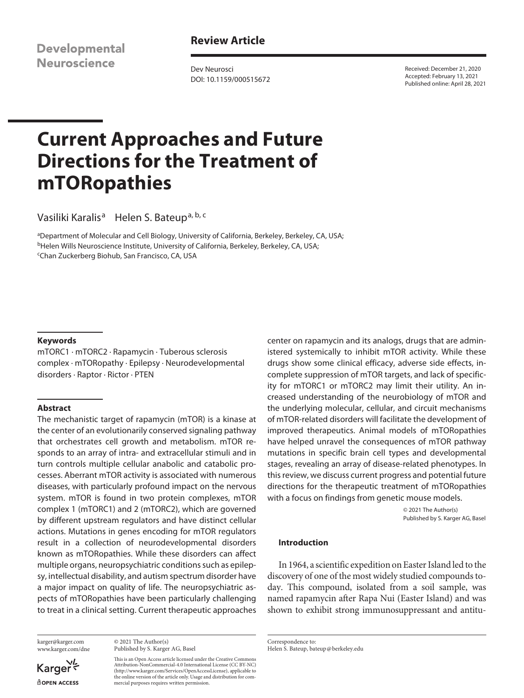**Developmental Neuroscience** 

# **Review Article**

Dev Neurosci DOI: 10.1159/000515672 Received: December 21, 2020 Accepted: February 13, 2021 Published online: April 28, 2021

# **Current Approaches and Future Directions for the Treatment of mTORopathies**

Vasiliki Karalis<sup>a</sup> Helen S. Bateup<sup>a, b, c</sup>

<sup>a</sup>Department of Molecular and Cell Biology, University of California, Berkeley, Berkeley, CA, USA; <sup>b</sup>Helen Wills Neuroscience Institute, University of California, Berkeley, Berkeley, CA, USA; c Chan Zuckerberg Biohub, San Francisco, CA, USA

#### **Keywords**

mTORC1 · mTORC2 · Rapamycin · Tuberous sclerosis complex · mTORopathy · Epilepsy · Neurodevelopmental disorders · Raptor · Rictor · PTEN

#### **Abstract**

The mechanistic target of rapamycin (mTOR) is a kinase at the center of an evolutionarily conserved signaling pathway that orchestrates cell growth and metabolism. mTOR responds to an array of intra- and extracellular stimuli and in turn controls multiple cellular anabolic and catabolic processes. Aberrant mTOR activity is associated with numerous diseases, with particularly profound impact on the nervous system. mTOR is found in two protein complexes, mTOR complex 1 (mTORC1) and 2 (mTORC2), which are governed by different upstream regulators and have distinct cellular actions. Mutations in genes encoding for mTOR regulators result in a collection of neurodevelopmental disorders known as mTORopathies. While these disorders can affect multiple organs, neuropsychiatric conditions such as epilepsy, intellectual disability, and autism spectrum disorder have a major impact on quality of life. The neuropsychiatric aspects of mTORopathies have been particularly challenging to treat in a clinical setting. Current therapeutic approaches

karger@karger.com www.karger.com/dne

Karger<sup>V</sup> dopen Access

© 2021 The Author(s) Published by S. Karger AG, Basel

This is an Open Access article licensed under the Creative Commons Attribution-NonCommercial-4.0 International License (CC BY-NC) (http://www.karger.com/Services/OpenAccessLicense), applicable to the online version of the article only. Usage and distribution for commercial purposes requires written permission.

center on rapamycin and its analogs, drugs that are administered systemically to inhibit mTOR activity. While these drugs show some clinical efficacy, adverse side effects, incomplete suppression of mTOR targets, and lack of specificity for mTORC1 or mTORC2 may limit their utility. An increased understanding of the neurobiology of mTOR and the underlying molecular, cellular, and circuit mechanisms of mTOR-related disorders will facilitate the development of improved therapeutics. Animal models of mTORopathies have helped unravel the consequences of mTOR pathway mutations in specific brain cell types and developmental stages, revealing an array of disease-related phenotypes. In this review, we discuss current progress and potential future directions for the therapeutic treatment of mTORopathies with a focus on findings from genetic mouse models.

> © 2021 The Author(s) Published by S. Karger AG, Basel

#### **Introduction**

In 1964, a scientific expedition on Easter Island led to the discovery of one of the most widely studied compounds today. This compound, isolated from a soil sample, was named rapamycin after Rapa Nui (Easter Island) and was shown to exhibit strong immunosuppressant and antitu-

Correspondence to: Helen S. Bateup, bateup@berkeley.edu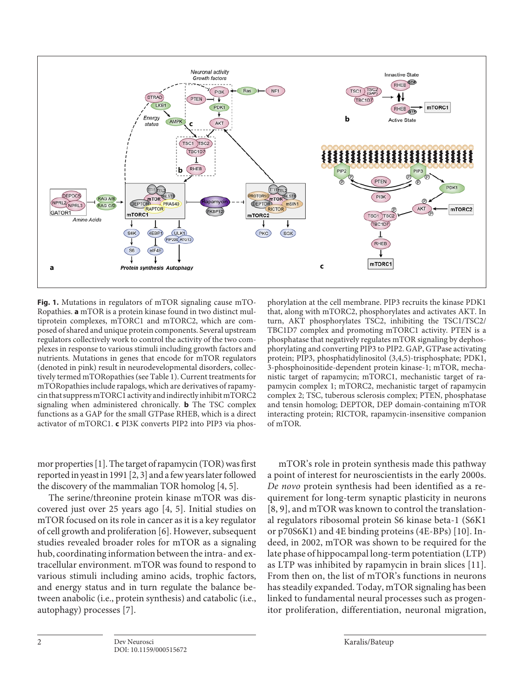

**Fig. 1.** Mutations in regulators of mTOR signaling cause mTO-Ropathies. **a** mTOR is a protein kinase found in two distinct multiprotein complexes, mTORC1 and mTORC2, which are composed of shared and unique protein components. Several upstream regulators collectively work to control the activity of the two complexes in response to various stimuli including growth factors and nutrients. Mutations in genes that encode for mTOR regulators (denoted in pink) result in neurodevelopmental disorders, collectively termed mTORopathies (see Table 1). Current treatments for mTORopathies include rapalogs, which are derivatives of rapamycin that suppress mTORC1 activity and indirectly inhibit mTORC2 signaling when administered chronically. **b** The TSC complex functions as a GAP for the small GTPase RHEB, which is a direct activator of mTORC1. **c** PI3K converts PIP2 into PIP3 via phos-

<span id="page-1-1"></span><span id="page-1-0"></span>mor properties [\[1](#page-10-0)]. The target of rapamycin (TOR) was first reported in yeast in 1991 [\[2](#page-10-1), [3](#page-10-2)] and a few years later followed the discovery of the mammalian TOR homolog [\[4](#page-10-3), [5](#page-10-4)].

<span id="page-1-4"></span><span id="page-1-3"></span><span id="page-1-2"></span>The serine/threonine protein kinase mTOR was discovered just over 25 years ago [[4](#page-10-3), [5\]](#page-10-4). Initial studies on mTOR focused on its role in cancer as it is a key regulator of cell growth and proliferation [[6\]](#page-10-5). However, subsequent studies revealed broader roles for mTOR as a signaling hub, coordinating information between the intra- and extracellular environment. mTOR was found to respond to various stimuli including amino acids, trophic factors, and energy status and in turn regulate the balance between anabolic (i.e., protein synthesis) and catabolic (i.e., autophagy) processes [[7](#page-10-6)].

phorylation at the cell membrane. PIP3 recruits the kinase PDK1 that, along with mTORC2, phosphorylates and activates AKT. In turn, AKT phosphorylates TSC2, inhibiting the TSC1/TSC2/ TBC1D7 complex and promoting mTORC1 activity. PTEN is a phosphatase that negatively regulates mTOR signaling by dephosphorylating and converting PIP3 to PIP2. GAP, GTPase activating protein; PIP3, phosphatidylinositol (3,4,5)-trisphosphate; PDK1, 3-phosphoinositide-dependent protein kinase-1; mTOR, mechanistic target of rapamycin; mTORC1, mechanistic target of rapamycin complex 1; mTORC2, mechanistic target of rapamycin complex 2; TSC, tuberous sclerosis complex; PTEN, phosphatase and tensin homolog; DEPTOR, DEP domain-containing mTOR interacting protein; RICTOR, rapamycin-insensitive companion of mTOR.

<span id="page-1-7"></span><span id="page-1-6"></span><span id="page-1-5"></span>mTOR's role in protein synthesis made this pathway a point of interest for neuroscientists in the early 2000s. *De novo* protein synthesis had been identified as a requirement for long-term synaptic plasticity in neurons [[8](#page-10-7), [9](#page-10-8)], and mTOR was known to control the translational regulators ribosomal protein S6 kinase beta-1 (S6K1 or p70S6K1) and 4E binding proteins (4E-BPs) [\[10](#page-10-0)]. Indeed, in 2002, mTOR was shown to be required for the late phase of hippocampal long-term potentiation (LTP) as LTP was inhibited by rapamycin in brain slices [[11](#page-10-0)]. From then on, the list of mTOR's functions in neurons has steadily expanded. Today, mTOR signaling has been linked to fundamental neural processes such as progenitor proliferation, differentiation, neuronal migration,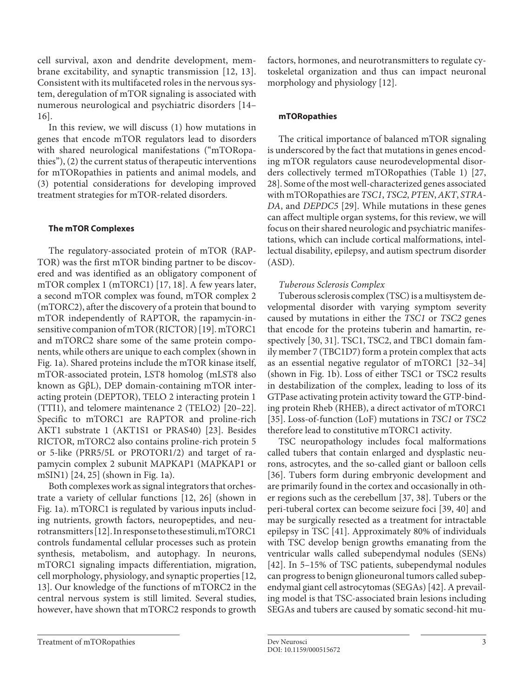<span id="page-2-0"></span>cell survival, axon and dendrite development, membrane excitability, and synaptic transmission [[1](#page-10-0)[2](#page-10-1), [1](#page-10-0)[3\]](#page-10-2). Consistent with its multifaceted roles in the nervous system, deregulation of mTOR signaling is associated with numerous neurological and psychiatric disorders [[1](#page-10-0)[4](#page-10-3)– [1](#page-10-0)[6](#page-10-5)].

<span id="page-2-1"></span>In this review, we will discuss (1) how mutations in genes that encode mTOR regulators lead to disorders with shared neurological manifestations ("mTORopathies"), (2) the current status of therapeutic interventions for mTORopathies in patients and animal models, and (3) potential considerations for developing improved treatment strategies for mTOR-related disorders.

## **The mTOR Complexes**

<span id="page-2-3"></span><span id="page-2-2"></span>The regulatory-associated protein of mTOR (RAP-TOR) was the first mTOR binding partner to be discovered and was identified as an obligatory component of mTOR complex 1 (mTORC1) [\[1](#page-10-0)[7,](#page-10-6) [1](#page-10-0)[8](#page-10-7)]. A few years later, a second mTOR complex was found, mTOR complex 2 (mTORC2), after the discovery of a protein that bound to mTOR independently of RAPTOR, the rapamycin-insensitive companion of mTOR (RICTOR) [\[1](#page-10-0)[9\]](#page-10-8). mTORC1 and mTORC2 share some of the same protein components, while others are unique to each complex (shown in Fig. 1a). Shared proteins include the mTOR kinase itself, mTOR-associated protein, LST8 homolog (mLST8 also known as GβL), DEP domain-containing mTOR interacting protein (DEPTOR), TELO 2 interacting protein 1 (TTI1), and telomere maintenance 2 (TELO2) [\[2](#page-10-1)0[–22\]](#page-10-1). Specific to mTORC1 are RAPTOR and proline-rich AKT1 substrate 1 (AKT1S1 or PRAS40) [\[2](#page-10-1)[3\]](#page-10-2). Besides RICTOR, mTORC2 also contains proline-rich protein 5 or 5-like (PRR5/5L or PROTOR1/2) and target of rapamycin complex 2 subunit MAPKAP1 (MAPKAP1 or mSIN1) [\[2](#page-10-1)[4,](#page-10-3) [2](#page-10-1)[5](#page-10-4)] (shown in Fig. 1a).

<span id="page-2-7"></span><span id="page-2-6"></span><span id="page-2-5"></span><span id="page-2-4"></span>Both complexes work as signal integrators that orchestrate a variety of cellular functions [\[1](#page-10-0)[2](#page-10-1), [2](#page-10-1)[6](#page-10-5)] (shown in Fig. 1a). mTORC1 is regulated by various inputs including nutrients, growth factors, neuropeptides, and neurotransmitters [[1](#page-10-0)[2](#page-10-1)]. In response to these stimuli, mTORC1 controls fundamental cellular processes such as protein synthesis, metabolism, and autophagy. In neurons, mTORC1 signaling impacts differentiation, migration, cell morphology, physiology, and synaptic properties [\[1](#page-10-0)[2,](#page-10-1) [1](#page-10-0)[3](#page-10-2)]. Our knowledge of the functions of mTORC2 in the central nervous system is still limited. Several studies, however, have shown that mTORC2 responds to growth factors, hormones, and neurotransmitters to regulate cytoskeletal organization and thus can impact neuronal morphology and physiology [\[1](#page-10-0)[2\]](#page-10-1).

#### **mTORopathies**

<span id="page-2-8"></span>The critical importance of balanced mTOR signaling is underscored by the fact that mutations in genes encoding mTOR regulators cause neurodevelopmental disorders collectively termed mTORopathies (Table 1) [[2](#page-10-1)[7](#page-10-6), [2](#page-10-1)[8\]](#page-10-7). Some of the most well-characterized genes associated with mTORopathies are *TSC1*, *TSC2*, *PTEN*, *AKT*, *STRA-DA*, and *DEPDC5* [[2](#page-10-1)[9](#page-10-8)]. While mutations in these genes can affect multiple organ systems, for this review, we will focus on their shared neurologic and psychiatric manifestations, which can include cortical malformations, intellectual disability, epilepsy, and autism spectrum disorder (ASD).

## <span id="page-2-9"></span>*Tuberous Sclerosis Complex*

<span id="page-2-11"></span><span id="page-2-10"></span>Tuberous sclerosis complex (TSC) is a multisystem developmental disorder with varying symptom severity caused by mutations in either the *TSC1* or *TSC2* genes that encode for the proteins tuberin and hamartin, respectively [\[30](#page-10-2), [3](#page-10-2)[1](#page-10-0)]. TSC1, TSC2, and TBC1 domain family member 7 (TBC1D7) form a protein complex that acts as an essential negative regulator of mTORC1 [\[3](#page-10-2)[2](#page-10-1)[–3](#page-10-2)[4\]](#page-10-3) (shown in Fig. 1b). Loss of either TSC1 or TSC2 results in destabilization of the complex, leading to loss of its GTPase activating protein activity toward the GTP-binding protein Rheb (RHEB), a direct activator of mTORC1 [[3](#page-10-2)[5](#page-10-4)]. Loss-of-function (LoF) mutations in *TSC1* or *TSC2* therefore lead to constitutive mTORC1 activity.

<span id="page-2-17"></span><span id="page-2-16"></span><span id="page-2-15"></span><span id="page-2-14"></span><span id="page-2-13"></span><span id="page-2-12"></span>TSC neuropathology includes focal malformations called tubers that contain enlarged and dysplastic neurons, astrocytes, and the so-called giant or balloon cells [[3](#page-10-2)[6](#page-10-5)]. Tubers form during embryonic development and are primarily found in the cortex and occasionally in other regions such as the cerebellum [\[3](#page-10-2)[7,](#page-10-6) [3](#page-10-2)[8\]](#page-10-7). Tubers or the peri-tuberal cortex can become seizure foci [[3](#page-10-2)[9](#page-10-8), [4](#page-10-3)0] and may be surgically resected as a treatment for intractable epilepsy in TSC [[4](#page-10-3)[1](#page-10-0)]. Approximately 80% of individuals with TSC develop benign growths emanating from the ventricular walls called subependymal nodules (SENs) [[4](#page-10-3)[2](#page-10-1)]. In 5–15% of TSC patients, subependymal nodules can progress to benign glioneuronal tumors called subependymal giant cell astrocytomas (SEGAs) [\[4](#page-10-3)[2\]](#page-10-1). A prevailing model is that TSC-associated brain lesions including SEGAs and tubers are caused by somatic second-hit mu-

Treatment of mTORopathies **Dev Neurosci** 3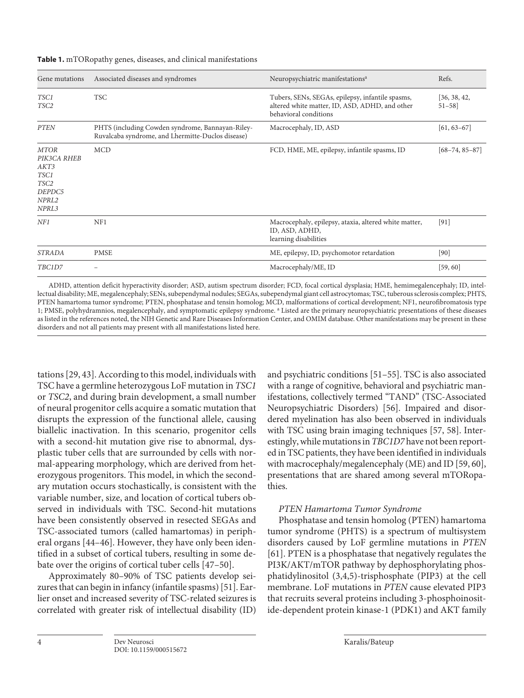| Gene mutations                                                                                         | Associated diseases and syndromes                                                                     | Neuropsychiatric manifestations <sup>a</sup>                                                                                | Refs.                     |
|--------------------------------------------------------------------------------------------------------|-------------------------------------------------------------------------------------------------------|-----------------------------------------------------------------------------------------------------------------------------|---------------------------|
| TSC1<br>TSC2                                                                                           | <b>TSC</b>                                                                                            | Tubers, SENs, SEGAs, epilepsy, infantile spasms,<br>altered white matter, ID, ASD, ADHD, and other<br>behavioral conditions | [36, 38, 42,<br>$51 - 58$ |
| <b>PTEN</b>                                                                                            | PHTS (including Cowden syndrome, Bannayan-Riley-<br>Ruvalcaba syndrome, and Lhermitte-Duclos disease) | $[61, 63 - 67]$<br>Macrocephaly, ID, ASD                                                                                    |                           |
| <b>MTOR</b><br>PIK3CA RHEB<br>AKT3<br>TSC1<br>TSC <sub>2</sub><br>DEPDC5<br>NPRL <sub>2</sub><br>NPRL3 | <b>MCD</b>                                                                                            | FCD, HME, ME, epilepsy, infantile spasms, ID                                                                                | $[68 - 74, 85 - 87]$      |
| NF1                                                                                                    | NF1                                                                                                   | Macrocephaly, epilepsy, ataxia, altered white matter,<br>$[91]$<br>ID, ASD, ADHD,<br>learning disabilities                  |                           |
| <b>STRADA</b>                                                                                          | <b>PMSE</b>                                                                                           | ME, epilepsy, ID, psychomotor retardation                                                                                   | [90]                      |
| TBC1D7                                                                                                 |                                                                                                       | Macrocephaly/ME, ID                                                                                                         | [59, 60]                  |

ADHD, attention deficit hyperactivity disorder; ASD, autism spectrum disorder; FCD, focal cortical dysplasia; HME, hemimegalencephaly; ID, intellectual disability; ME, megalencephaly; SENs, subependymal nodules; SEGAs, subependymal giant cell astrocytomas; TSC, tuberous sclerosis complex; PHTS, PTEN hamartoma tumor syndrome; PTEN, phosphatase and tensin homolog; MCD, malformations of cortical development; NF1, neurofibromatosis type 1; PMSE, polyhydramnios, megalencephaly, and symptomatic epilepsy syndrome. <sup>a</sup> Listed are the primary neuropsychiatric presentations of these diseases as listed in the references noted, the NIH Genetic and Rare Diseases Information Center, and OMIM database. Other manifestations may be present in these disorders and not all patients may present with all manifestations listed here.

<span id="page-3-0"></span>tations [\[2](#page-10-1)[9,](#page-10-8) [4](#page-10-3)[3\]](#page-10-2). According to this model, individuals with TSC have a germline heterozygous LoF mutation in *TSC1* or *TSC2*, and during brain development, a small number of neural progenitor cells acquire a somatic mutation that disrupts the expression of the functional allele, causing biallelic inactivation. In this scenario, progenitor cells with a second-hit mutation give rise to abnormal, dysplastic tuber cells that are surrounded by cells with normal-appearing morphology, which are derived from heterozygous progenitors. This model, in which the secondary mutation occurs stochastically, is consistent with the variable number, size, and location of cortical tubers observed in individuals with TSC. Second-hit mutations have been consistently observed in resected SEGAs and TSC-associated tumors (called hamartomas) in peripheral organs [\[44–4](#page-10-3)[6](#page-10-5)]. However, they have only been identified in a subset of cortical tubers, resulting in some debate over the origins of cortical tuber cells [\[4](#page-10-3)[7](#page-10-6)[–50](#page-10-4)].

<span id="page-3-3"></span><span id="page-3-2"></span><span id="page-3-1"></span>Approximately 80–90% of TSC patients develop seizures that can begin in infancy (infantile spasms) [\[5](#page-10-4)[1\]](#page-10-0). Earlier onset and increased severity of TSC-related seizures is correlated with greater risk of intellectual disability (ID) <span id="page-3-5"></span><span id="page-3-4"></span>and psychiatric conditions [\[5](#page-10-4)[1–](#page-10-0)[55\]](#page-10-4). TSC is also associated with a range of cognitive, behavioral and psychiatric manifestations, collectively termed "TAND" (TSC-Associated Neuropsychiatric Disorders) [[5](#page-10-4)[6](#page-10-5)]. Impaired and disordered myelination has also been observed in individuals with TSC using brain imaging techniques [\[5](#page-10-4)[7,](#page-10-6) [5](#page-10-4)[8](#page-10-7)]. Interestingly, while mutations in *TBC1D7* have not been reported in TSC patients, they have been identified in individuals with macrocephaly/megalencephaly (ME) and ID [\[5](#page-10-4)[9,](#page-10-8) [6](#page-10-5)0], presentations that are shared among several mTORopathies.

# <span id="page-3-6"></span>*PTEN Hamartoma Tumor Syndrome*

<span id="page-3-7"></span>Phosphatase and tensin homolog (PTEN) hamartoma tumor syndrome (PHTS) is a spectrum of multisystem disorders caused by LoF germline mutations in *PTEN* [[6](#page-10-5)[1](#page-10-0)]. PTEN is a phosphatase that negatively regulates the PI3K/AKT/mTOR pathway by dephosphorylating phosphatidylinositol (3,4,5)-trisphosphate (PIP3) at the cell membrane. LoF mutations in *PTEN* cause elevated PIP3 that recruits several proteins including 3-phosphoinositide-dependent protein kinase-1 (PDK1) and AKT family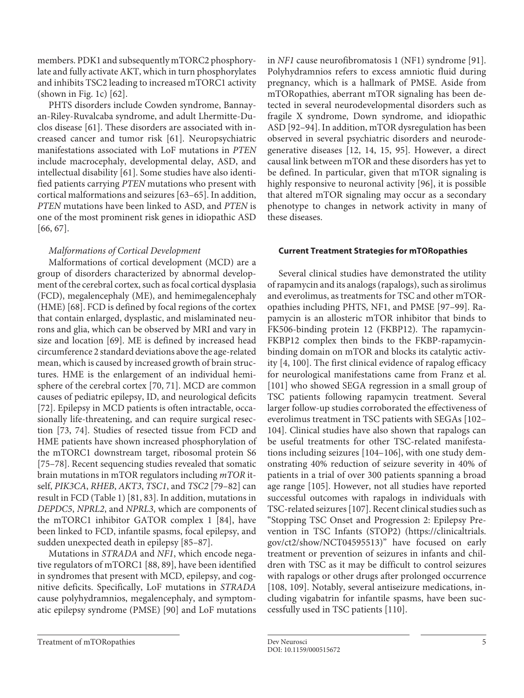members. PDK1 and subsequently mTORC2 phosphorylate and fully activate AKT, which in turn phosphorylates and inhibits TSC2 leading to increased mTORC1 activity (shown in Fig. 1c) [\[6](#page-10-5)[2\]](#page-10-1).

<span id="page-4-0"></span>PHTS disorders include Cowden syndrome, Bannayan-Riley-Ruvalcaba syndrome, and adult Lhermitte-Duclos disease [[6](#page-10-5)[1](#page-10-0)]. These disorders are associated with increased cancer and tumor risk [\[6](#page-10-5)[1\]](#page-10-0). Neuropsychiatric manifestations associated with LoF mutations in *PTEN* include macrocephaly, developmental delay, ASD, and intellectual disability [\[6](#page-10-5)[1\]](#page-10-0). Some studies have also identified patients carrying *PTEN* mutations who present with cortical malformations and seizures [\[6](#page-10-5)[3–](#page-10-2)[6](#page-10-5)[5](#page-10-4)]. In addition, *PTEN* mutations have been linked to ASD, and *PTEN* is one of the most prominent risk genes in idiopathic ASD [\[66,](#page-10-5) [6](#page-10-5)[7](#page-10-6)].

# <span id="page-4-2"></span><span id="page-4-1"></span>*Malformations of Cortical Development*

<span id="page-4-6"></span><span id="page-4-5"></span><span id="page-4-4"></span><span id="page-4-3"></span>Malformations of cortical development (MCD) are a group of disorders characterized by abnormal development of the cerebral cortex, such as focal cortical dysplasia (FCD), megalencephaly (ME), and hemimegalencephaly (HME) [\[6](#page-10-5)[8\]](#page-10-7). FCD is defined by focal regions of the cortex that contain enlarged, dysplastic, and mislaminated neurons and glia, which can be observed by MRI and vary in size and location [[6](#page-10-5)[9](#page-10-8)]. ME is defined by increased head circumference 2 standard deviations above the age-related mean, which is caused by increased growth of brain structures. HME is the enlargement of an individual hemisphere of the cerebral cortex [\[7](#page-10-6)0, [7](#page-10-6)[1](#page-10-0)]. MCD are common causes of pediatric epilepsy, ID, and neurological deficits [\[7](#page-10-6)[2\]](#page-10-1). Epilepsy in MCD patients is often intractable, occasionally life-threatening, and can require surgical resection [\[7](#page-10-6)[3,](#page-10-2) [7](#page-10-6)[4\]](#page-10-3). Studies of resected tissue from FCD and HME patients have shown increased phosphorylation of the mTORC1 downstream target, ribosomal protein S6 [\[7](#page-10-6)[5](#page-10-4)[–7](#page-10-6)[8\]](#page-10-7). Recent sequencing studies revealed that somatic brain mutations in mTOR regulators including *mTOR* itself, *PIK3CA*, *RHEB*, *AKT3*, *TSC1*, and *TSC2* [\[7](#page-10-6)[9–](#page-10-8)[8](#page-10-7)[2\]](#page-10-1) can result in FCD (Table 1) [\[8](#page-10-7)[1,](#page-10-0) [8](#page-10-7)[3\]](#page-10-2). In addition, mutations in *DEPDC5*, *NPRL2*, and *NPRL3*, which are components of the mTORC1 inhibitor GATOR complex 1 [[8](#page-10-7)[4](#page-10-3)], have been linked to FCD, infantile spasms, focal epilepsy, and sudden unexpected death in epilepsy [\[8](#page-10-7)[5–](#page-10-4)[8](#page-10-7)[7\]](#page-10-6).

<span id="page-4-25"></span><span id="page-4-24"></span><span id="page-4-13"></span><span id="page-4-12"></span><span id="page-4-11"></span><span id="page-4-10"></span><span id="page-4-8"></span><span id="page-4-7"></span>Mutations in *STRADA* and *NF1*, which encode negative regulators of mTORC1 [\[88,](#page-10-7) [8](#page-10-7)[9](#page-10-8)], have been identified in syndromes that present with MCD, epilepsy, and cognitive deficits. Specifically, LoF mutations in *STRADA* cause polyhydramnios, megalencephaly, and symptomatic epilepsy syndrome (PMSE) [\[9](#page-10-8)0] and LoF mutations <span id="page-4-17"></span><span id="page-4-16"></span><span id="page-4-15"></span>in *NF1* cause neurofibromatosis 1 (NF1) syndrome [[9](#page-10-8)[1](#page-10-0)]. Polyhydramnios refers to excess amniotic fluid during pregnancy, which is a hallmark of PMSE. Aside from mTORopathies, aberrant mTOR signaling has been detected in several neurodevelopmental disorders such as fragile X syndrome, Down syndrome, and idiopathic ASD [[9](#page-10-8)[2](#page-10-1)[–9](#page-10-8)[4\]](#page-10-3). In addition, mTOR dysregulation has been observed in several psychiatric disorders and neurodegenerative diseases [\[1](#page-10-0)[2,](#page-10-1) [1](#page-10-0)[4](#page-10-3), [1](#page-10-0)[5,](#page-10-4) [9](#page-10-8)[5](#page-10-4)]. However, a direct causal link between mTOR and these disorders has yet to be defined. In particular, given that mTOR signaling is highly responsive to neuronal activity [\[9](#page-10-8)[6\]](#page-10-5), it is possible that altered mTOR signaling may occur as a secondary phenotype to changes in network activity in many of these diseases.

# <span id="page-4-18"></span>**Current Treatment Strategies for mTORopathies**

<span id="page-4-23"></span><span id="page-4-22"></span><span id="page-4-21"></span><span id="page-4-20"></span><span id="page-4-19"></span><span id="page-4-9"></span>Several clinical studies have demonstrated the utility of rapamycin and its analogs (rapalogs), such as sirolimus and everolimus, as treatments for TSC and other mTORopathies including PHTS, NF1, and PMSE [[9](#page-10-8)[7](#page-10-6)[–99\]](#page-10-8). Rapamycin is an allosteric mTOR inhibitor that binds to FK506-binding protein 12 (FKBP12). The rapamycin-FKBP12 complex then binds to the FKBP-rapamycinbinding domain on mTOR and blocks its catalytic activity [[4](#page-10-3), [1](#page-10-0)00]. The first clinical evidence of rapalog efficacy for neurological manifestations came from Franz et al. [[101\]](#page-10-0) who showed SEGA regression in a small group of TSC patients following rapamycin treatment. Several larger follow-up studies corroborated the effectiveness of everolimus treatment in TSC patients with SEGAs [\[1](#page-10-0)0[2](#page-10-1)– [1](#page-10-0)0[4\]](#page-10-3). Clinical studies have also shown that rapalogs can be useful treatments for other TSC-related manifestations including seizures [[1](#page-10-0)[04](#page-10-3)[–10](#page-10-0)[6](#page-10-5)], with one study demonstrating 40% reduction of seizure severity in 40% of patients in a trial of over 300 patients spanning a broad age range [[1](#page-10-0)[05\]](#page-10-4). However, not all studies have reported successful outcomes with rapalogs in individuals with TSC-related seizures [[1](#page-10-0)[07\]](#page-10-6). Recent clinical studies such as "Stopping TSC Onset and Progression 2: Epilepsy Prevention in TSC Infants (STOP2) (https://clinicaltrials. gov/ct2/show/NCT04595513)" have focused on early treatment or prevention of seizures in infants and children with TSC as it may be difficult to control seizures with rapalogs or other drugs after prolonged occurrence [[1](#page-10-0)[08,](#page-10-7) [10](#page-10-0)[9](#page-10-8)]. Notably, several antiseizure medications, including vigabatrin for infantile spasms, have been successfully used in TSC patients [\[110](#page-10-0)].

<span id="page-4-26"></span><span id="page-4-14"></span>Treatment of mTORopathies **S** Dev Neurosci 5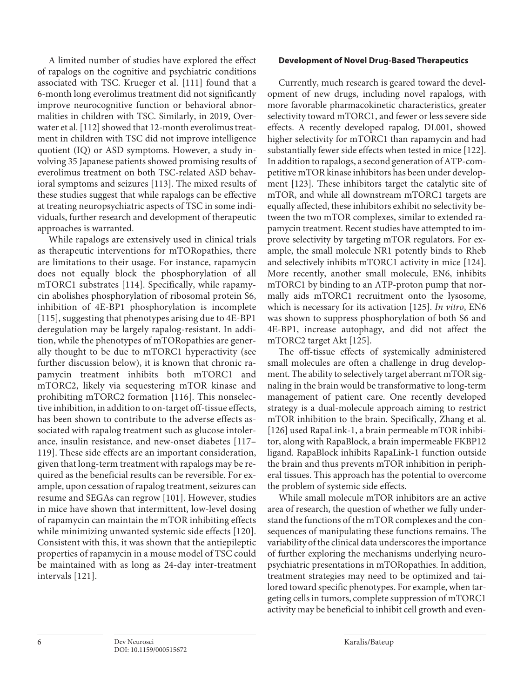<span id="page-5-1"></span><span id="page-5-0"></span>A limited number of studies have explored the effect of rapalogs on the cognitive and psychiatric conditions associated with TSC. Krueger et al. [[111\]](#page-10-0) found that a 6-month long everolimus treatment did not significantly improve neurocognitive function or behavioral abnormalities in children with TSC. Similarly, in 2019, Overwater et al. [\[11](#page-10-0)[2](#page-10-1)] showed that 12-month everolimus treatment in children with TSC did not improve intelligence quotient (IQ) or ASD symptoms. However, a study involving 35 Japanese patients showed promising results of everolimus treatment on both TSC-related ASD behavioral symptoms and seizures [\[11](#page-10-0)[3](#page-10-2)]. The mixed results of these studies suggest that while rapalogs can be effective at treating neuropsychiatric aspects of TSC in some individuals, further research and development of therapeutic approaches is warranted.

<span id="page-5-6"></span><span id="page-5-5"></span><span id="page-5-4"></span><span id="page-5-3"></span><span id="page-5-2"></span>While rapalogs are extensively used in clinical trials as therapeutic interventions for mTORopathies, there are limitations to their usage. For instance, rapamycin does not equally block the phosphorylation of all mTORC1 substrates [\[11](#page-10-0)[4\]](#page-10-3). Specifically, while rapamycin abolishes phosphorylation of ribosomal protein S6, inhibition of 4E-BP1 phosphorylation is incomplete [\[11](#page-10-0)[5\]](#page-10-4), suggesting that phenotypes arising due to 4E-BP1 deregulation may be largely rapalog-resistant. In addition, while the phenotypes of mTORopathies are generally thought to be due to mTORC1 hyperactivity (see further discussion below), it is known that chronic rapamycin treatment inhibits both mTORC1 and mTORC2, likely via sequestering mTOR kinase and prohibiting mTORC2 formation [\[11](#page-10-0)[6](#page-10-5)]. This nonselective inhibition, in addition to on-target off-tissue effects, has been shown to contribute to the adverse effects associated with rapalog treatment such as glucose intolerance, insulin resistance, and new-onset diabetes [\[11](#page-10-0)[7](#page-10-6)– [11](#page-10-0)[9\]](#page-10-8). These side effects are an important consideration, given that long-term treatment with rapalogs may be required as the beneficial results can be reversible. For example, upon cessation of rapalog treatment, seizures can resume and SEGAs can regrow [[101\]](#page-10-0). However, studies in mice have shown that intermittent, low-level dosing of rapamycin can maintain the mTOR inhibiting effects while minimizing unwanted systemic side effects [[1](#page-10-0)[2](#page-10-1)0]. Consistent with this, it was shown that the antiepileptic properties of rapamycin in a mouse model of TSC could be maintained with as long as 24-day inter-treatment intervals [[1](#page-10-0)[2](#page-10-1)[1\]](#page-10-0).

## **Development of Novel Drug-Based Therapeutics**

<span id="page-5-10"></span><span id="page-5-9"></span>Currently, much research is geared toward the development of new drugs, including novel rapalogs, with more favorable pharmacokinetic characteristics, greater selectivity toward mTORC1, and fewer or less severe side effects. A recently developed rapalog, DL001, showed higher selectivity for mTORC1 than rapamycin and had substantially fewer side effects when tested in mice [[1](#page-10-0)[22](#page-10-1)]. In addition to rapalogs, a second generation of ATP-competitive mTOR kinase inhibitors has been under development [[1](#page-10-0)[2](#page-10-1)[3\]](#page-10-2). These inhibitors target the catalytic site of mTOR, and while all downstream mTORC1 targets are equally affected, these inhibitors exhibit no selectivity between the two mTOR complexes, similar to extended rapamycin treatment. Recent studies have attempted to improve selectivity by targeting mTOR regulators. For example, the small molecule NR1 potently binds to Rheb and selectively inhibits mTORC1 activity in mice [[1](#page-10-0)[2](#page-10-1)[4](#page-10-3)]. More recently, another small molecule, EN6, inhibits mTORC1 by binding to an ATP-proton pump that normally aids mTORC1 recruitment onto the lysosome, which is necessary for its activation [\[1](#page-10-0)[2](#page-10-1)[5\]](#page-10-4). *In vitro*, EN6 was shown to suppress phosphorylation of both S6 and 4E-BP1, increase autophagy, and did not affect the mTORC2 target Akt [[1](#page-10-0)[2](#page-10-1)[5](#page-10-4)].

<span id="page-5-12"></span><span id="page-5-11"></span>The off-tissue effects of systemically administered small molecules are often a challenge in drug development. The ability to selectively target aberrant mTOR signaling in the brain would be transformative to long-term management of patient care. One recently developed strategy is a dual-molecule approach aiming to restrict mTOR inhibition to the brain. Specifically, Zhang et al. [[1](#page-10-0)[2](#page-10-1)[6\]](#page-10-5) used RapaLink-1, a brain permeable mTOR inhibitor, along with RapaBlock, a brain impermeable FKBP12 ligand. RapaBlock inhibits RapaLink-1 function outside the brain and thus prevents mTOR inhibition in peripheral tissues. This approach has the potential to overcome the problem of systemic side effects.

<span id="page-5-13"></span><span id="page-5-8"></span><span id="page-5-7"></span>While small molecule mTOR inhibitors are an active area of research, the question of whether we fully understand the functions of the mTOR complexes and the consequences of manipulating these functions remains. The variability of the clinical data underscores the importance of further exploring the mechanisms underlying neuropsychiatric presentations in mTORopathies. In addition, treatment strategies may need to be optimized and tailored toward specific phenotypes. For example, when targeting cells in tumors, complete suppression of mTORC1 activity may be beneficial to inhibit cell growth and even-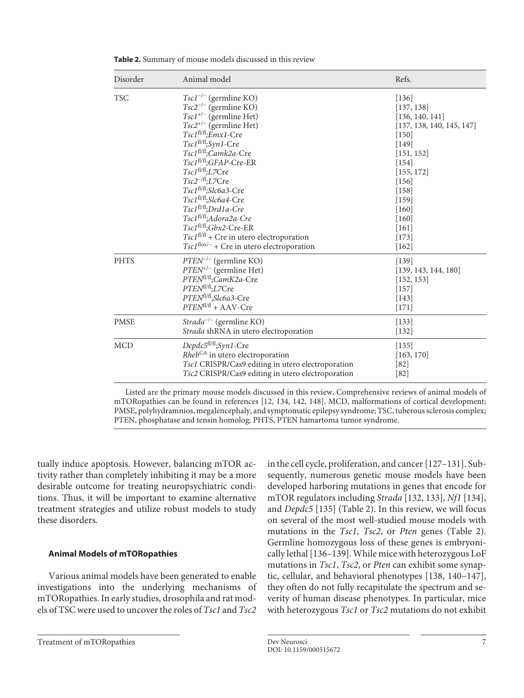| Disorder    | Animal model                                                                                                                                                                                                                                                                                                                                                                                                                                                                                                                         | Refs.                                                                                                                                                                                                            |
|-------------|--------------------------------------------------------------------------------------------------------------------------------------------------------------------------------------------------------------------------------------------------------------------------------------------------------------------------------------------------------------------------------------------------------------------------------------------------------------------------------------------------------------------------------------|------------------------------------------------------------------------------------------------------------------------------------------------------------------------------------------------------------------|
| <b>TSC</b>  | $Tsc1^{-/-}$ (germline KO)<br>$Tsc2^{-/-}$ (germline KO)<br>$Tsc1^{+/-}$ (germline Het)<br>$Tsc2^{+/}$ (germline Het)<br>Tsc1fl/fl;Emx1-Cre<br>Tsc1 <sup>fl/fl</sup> ;Syn1-Cre<br>Tsc1 <sup>fl/fl</sup> ;Camk2a-Cre<br>Tsc1fl/fl;GFAP-Cre-ER<br>Tsc1 <sup>f1/f1</sup> ; L7Cre<br>$Tsc2^{-/f}L7Cre$<br>Tsc1fl/fl;Slc6a3-Cre<br>Tsc1fl/fl;Slc6a4-Cre<br>Tsc1fl/fl;Drd1a-Cre<br>Tsc1fl/fl;Adora2a-Cre<br>$Tsc1f1/f1; Gbx2-Cre-ER$<br>$TscIf1/f1 + Cre$ in utero electroporation<br>$Tsc1^{\text{flow}-}$ + Cre in utero electroporation | $[136]$<br>[137, 138]<br>[136, 140, 141]<br>[137, 138, 140, 145, 147]<br>$[150]$<br>$[149]$<br>[151, 152]<br>$[154]$<br>[155, 172]<br>[156]<br>$[158]$<br>$[159]$<br>[160]<br>[160]<br>[161]<br>[173]<br>$[162]$ |
| <b>PHTS</b> | $PTEN^{-/-}$ (germline KO)<br>$PTEN^{+/ - }$ (germline Het)<br>PTEN <sup>fl/fl</sup> ;CamK2a-Cre<br>PTEN <sup>fl/fl</sup> ;L7Cre<br>PTEN <sup>fl/fl</sup> ;Slc6a3-Cre<br>$PTENf1/f1 + AAV-Cre$                                                                                                                                                                                                                                                                                                                                       | [139]<br>[139, 143, 144, 180]<br>[152, 153]<br>$[157]$<br>[143]<br>$[171]$                                                                                                                                       |
| <b>PMSE</b> | $Strada^{-/-}$ (germline KO)<br>Strada shRNA in utero electroporation                                                                                                                                                                                                                                                                                                                                                                                                                                                                | $[133]$<br>$[132]$                                                                                                                                                                                               |
| <b>MCD</b>  | Depdc5 <sup>fl/fl</sup> ;Syn1-Cre<br>Rheb <sup>CA</sup> in utero electroporation<br>Tsc1 CRISPR/Cas9 editing in utero electroporation<br>Tsc2 CRISPR/Cas9 editing in utero electroporation                                                                                                                                                                                                                                                                                                                                           | 135 <br>[163, 170]<br>[82]<br>$[82]$                                                                                                                                                                             |

**Table 2.** Summary of mouse models discussed in this review

Listed are the primary mouse models discussed in this review. Comprehensive reviews of animal models of mTORopathies can be found in references [12, 134, 142, 148]. MCD, malformations of cortical development; PMSE, polyhydramnios, megalencephaly, and symptomatic epilepsy syndrome; TSC, tuberous sclerosis complex; PTEN, phosphatase and tensin homolog; PHTS, PTEN hamartoma tumor syndrome.

tually induce apoptosis. However, balancing mTOR activity rather than completely inhibiting it may be a more desirable outcome for treating neuropsychiatric conditions. Thus, it will be important to examine alternative treatment strategies and utilize robust models to study these disorders.

## **Animal Models of mTORopathies**

Various animal models have been generated to enable investigations into the underlying mechanisms of mTORopathies. In early studies, drosophila and rat models of TSC were used to uncover the roles of *Tsc1* and *Tsc2*

<span id="page-6-5"></span><span id="page-6-4"></span><span id="page-6-3"></span><span id="page-6-2"></span><span id="page-6-1"></span><span id="page-6-0"></span>in the cell cycle, proliferation, and cancer [[1](#page-10-0)[2](#page-10-1)[7–](#page-10-6)[1](#page-10-0)[3](#page-10-2)[1](#page-10-0)]. Subsequently, numerous genetic mouse models have been developed harboring mutations in genes that encode for mTOR regulators including *Strada* [\[1](#page-10-0)[3](#page-10-2)[2](#page-10-1), [1](#page-10-0)[33\]](#page-10-2), *Nf1* [[1](#page-10-0)[3](#page-10-2)[4](#page-10-3)], and *Depdc5* [\[1](#page-10-0)[3](#page-10-2)[5](#page-10-4)] (Table 2). In this review, we will focus on several of the most well-studied mouse models with mutations in the *Tsc1*, *Tsc2*, or *Pten* genes (Table 2). Germline homozygous loss of these genes is embryonically lethal [[1](#page-10-0)[3](#page-10-2)[6](#page-10-5)[–1](#page-10-0)[3](#page-10-2)[9](#page-10-8)]. While mice with heterozygous LoF mutations in *Tsc1*, *Tsc2*, or *Pten* can exhibit some synaptic, cellular, and behavioral phenotypes [\[1](#page-10-0)[3](#page-10-2)[8](#page-10-7), [1](#page-10-0)[40](#page-10-3)–[1](#page-10-0)[4](#page-10-3)[7](#page-10-6)], they often do not fully recapitulate the spectrum and severity of human disease phenotypes. In particular, mice with heterozygous *Tsc1* or *Tsc2* mutations do not exhibit

Treatment of mTORopathies The Dev Neurosci **7** Dev Neurosci 7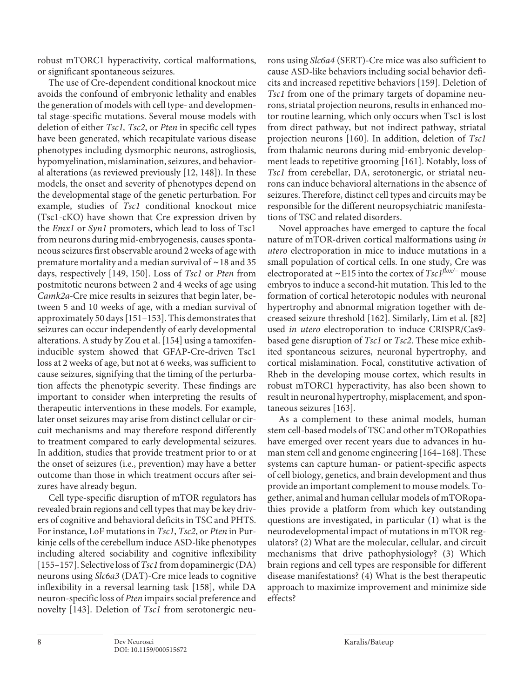robust mTORC1 hyperactivity, cortical malformations, or significant spontaneous seizures.

<span id="page-7-1"></span><span id="page-7-0"></span>The use of Cre-dependent conditional knockout mice avoids the confound of embryonic lethality and enables the generation of models with cell type- and developmental stage-specific mutations. Several mouse models with deletion of either *Tsc1, Tsc2*, or *Pten* in specific cell types have been generated, which recapitulate various disease phenotypes including dysmorphic neurons, astrogliosis, hypomyelination, mislamination, seizures, and behavioral alterations (as reviewed previously [[1](#page-10-0)[2](#page-10-1), [1](#page-10-0)[4](#page-10-3)[8](#page-10-7)]). In these models, the onset and severity of phenotypes depend on the developmental stage of the genetic perturbation. For example, studies of *Tsc1* conditional knockout mice (Tsc1-cKO) have shown that Cre expression driven by the *Emx1* or *Syn1* promoters, which lead to loss of Tsc1 from neurons during mid-embryogenesis, causes spontaneous seizures first observable around 2 weeks of age with premature mortality and a median survival of ∼18 and 35 days, respectively [\[1](#page-10-0)[4](#page-10-3)[9](#page-10-8), [1](#page-10-0)[50](#page-10-4)]. Loss of *Tsc1* or *Pten* from postmitotic neurons between 2 and 4 weeks of age using *Camk2a-*Cre mice results in seizures that begin later, between 5 and 10 weeks of age, with a median survival of approximately 50 days [[1](#page-10-0)[5](#page-10-4)[1–1](#page-10-0)[5](#page-10-4)[3](#page-10-2)]. This demonstrates that seizures can occur independently of early developmental alterations. A study by Zou et al. [[1](#page-10-0)[5](#page-10-4)[4\]](#page-10-3) using a tamoxifeninducible system showed that GFAP-Cre-driven Tsc1 loss at 2 weeks of age, but not at 6 weeks, was sufficient to cause seizures, signifying that the timing of the perturbation affects the phenotypic severity. These findings are important to consider when interpreting the results of therapeutic interventions in these models. For example, later onset seizures may arise from distinct cellular or circuit mechanisms and may therefore respond differently to treatment compared to early developmental seizures. In addition, studies that provide treatment prior to or at the onset of seizures (i.e., prevention) may have a better outcome than those in which treatment occurs after seizures have already begun.

<span id="page-7-5"></span><span id="page-7-4"></span><span id="page-7-3"></span><span id="page-7-2"></span>Cell type-specific disruption of mTOR regulators has revealed brain regions and cell types that may be key drivers of cognitive and behavioral deficits in TSC and PHTS. For instance, LoF mutations in *Tsc1*, *Tsc2*, or *Pten* in Purkinje cells of the cerebellum induce ASD-like phenotypes including altered sociability and cognitive inflexibility [\[1](#page-10-0)[55](#page-10-4)–[1](#page-10-0)[5](#page-10-4)[7\]](#page-10-6). Selective loss of *Tsc1* from dopaminergic (DA) neurons using *Slc6a3* (DAT)-Cre mice leads to cognitive inflexibility in a reversal learning task [[1](#page-10-0)[5](#page-10-4)[8\]](#page-10-7), while DA neuron-specific loss of *Pten* impairs social preference and novelty [[1](#page-10-0)[4](#page-10-3)[3](#page-10-2)]. Deletion of *Tsc1* from serotonergic neu<span id="page-7-7"></span><span id="page-7-6"></span>rons using *Slc6a4* (SERT)-Cre mice was also sufficient to cause ASD-like behaviors including social behavior deficits and increased repetitive behaviors [\[1](#page-10-0)[5](#page-10-4)[9](#page-10-8)]. Deletion of *Tsc1* from one of the primary targets of dopamine neurons, striatal projection neurons, results in enhanced motor routine learning, which only occurs when Tsc1 is lost from direct pathway, but not indirect pathway, striatal projection neurons [\[1](#page-10-0)[60](#page-10-5)]. In addition, deletion of *Tsc1* from thalamic neurons during mid-embryonic development leads to repetitive grooming [[1](#page-10-0)[6](#page-10-5)[1\]](#page-10-0). Notably, loss of *Tsc1* from cerebellar, DA, serotonergic, or striatal neurons can induce behavioral alternations in the absence of seizures. Therefore, distinct cell types and circuits may be responsible for the different neuropsychiatric manifestations of TSC and related disorders.

<span id="page-7-9"></span><span id="page-7-8"></span>Novel approaches have emerged to capture the focal nature of mTOR-driven cortical malformations using *in utero* electroporation in mice to induce mutations in a small population of cortical cells. In one study, Cre was electroporated at ∼E15 into the cortex of *Tsc1flox/−* mouse embryos to induce a second-hit mutation. This led to the formation of cortical heterotopic nodules with neuronal hypertrophy and abnormal migration together with decreased seizure threshold [\[1](#page-10-0)[6](#page-10-5)[2](#page-10-1)]. Similarly, Lim et al. [\[8](#page-10-7)[2\]](#page-10-1) used *in utero* electroporation to induce CRISPR/Cas9 based gene disruption of *Tsc1* or *Tsc2*. These mice exhibited spontaneous seizures, neuronal hypertrophy, and cortical mislamination. Focal, constitutive activation of Rheb in the developing mouse cortex, which results in robust mTORC1 hyperactivity, has also been shown to result in neuronal hypertrophy, misplacement, and spontaneous seizures [\[1](#page-10-0)[6](#page-10-5)[3\]](#page-10-2).

<span id="page-7-11"></span><span id="page-7-10"></span>As a complement to these animal models, human stem cell-based models of TSC and other mTORopathies have emerged over recent years due to advances in human stem cell and genome engineering [\[1](#page-10-0)[6](#page-10-5)[4](#page-10-3)[–1](#page-10-0)[6](#page-10-5)[8](#page-10-7)]. These systems can capture human- or patient-specific aspects of cell biology, genetics, and brain development and thus provide an important complement to mouse models. Together, animal and human cellular models of mTORopathies provide a platform from which key outstanding questions are investigated, in particular (1) what is the neurodevelopmental impact of mutations in mTOR regulators? (2) What are the molecular, cellular, and circuit mechanisms that drive pathophysiology? (3) Which brain regions and cell types are responsible for different disease manifestations? (4) What is the best therapeutic approach to maximize improvement and minimize side effects?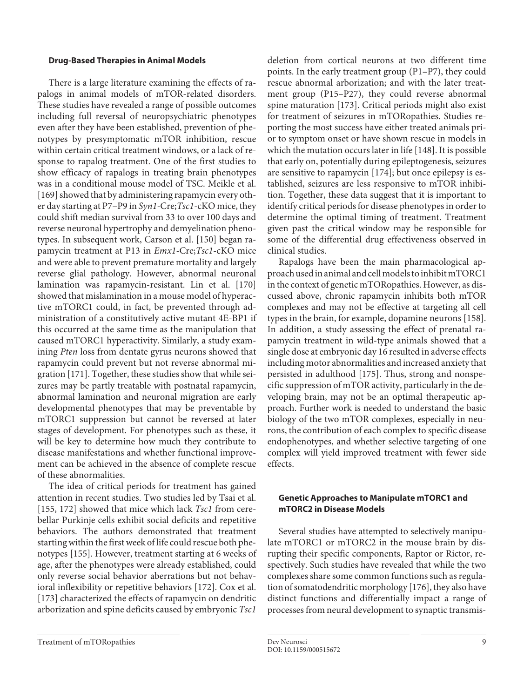#### **Drug-Based Therapies in Animal Models**

<span id="page-8-1"></span><span id="page-8-0"></span>There is a large literature examining the effects of rapalogs in animal models of mTOR-related disorders. These studies have revealed a range of possible outcomes including full reversal of neuropsychiatric phenotypes even after they have been established, prevention of phenotypes by presymptomatic mTOR inhibition, rescue within certain critical treatment windows, or a lack of response to rapalog treatment. One of the first studies to show efficacy of rapalogs in treating brain phenotypes was in a conditional mouse model of TSC. Meikle et al. [\[1](#page-10-0)[6](#page-10-5)[9](#page-10-8)] showed that by administering rapamycin every other day starting at P7–P9 in *Syn1-*Cre;*Tsc1*-cKO mice, they could shift median survival from 33 to over 100 days and reverse neuronal hypertrophy and demyelination phenotypes. In subsequent work, Carson et al. [[1](#page-10-0)[5](#page-10-4)0] began rapamycin treatment at P13 in *Emx1-*Cre;*Tsc1*-cKO mice and were able to prevent premature mortality and largely reverse glial pathology. However, abnormal neuronal lamination was rapamycin-resistant. Lin et al. [[1](#page-10-0)[7](#page-10-6)0] showed that mislamination in a mouse model of hyperactive mTORC1 could, in fact, be prevented through administration of a constitutively active mutant 4E-BP1 if this occurred at the same time as the manipulation that caused mTORC1 hyperactivity. Similarly, a study examining *Pten* loss from dentate gyrus neurons showed that rapamycin could prevent but not reverse abnormal migration [\[1](#page-10-0)[7](#page-10-6)[1](#page-10-0)]. Together, these studies show that while seizures may be partly treatable with postnatal rapamycin, abnormal lamination and neuronal migration are early developmental phenotypes that may be preventable by mTORC1 suppression but cannot be reversed at later stages of development. For phenotypes such as these, it will be key to determine how much they contribute to disease manifestations and whether functional improvement can be achieved in the absence of complete rescue of these abnormalities.

<span id="page-8-3"></span><span id="page-8-2"></span>The idea of critical periods for treatment has gained attention in recent studies. Two studies led by Tsai et al. [\[1](#page-10-0)[55](#page-10-4), [1](#page-10-0)[7](#page-10-6)[2](#page-10-1)] showed that mice which lack *Tsc1* from cerebellar Purkinje cells exhibit social deficits and repetitive behaviors. The authors demonstrated that treatment starting within the first week of life could rescue both phenotypes [\[1](#page-10-0)[55](#page-10-4)]. However, treatment starting at 6 weeks of age, after the phenotypes were already established, could only reverse social behavior aberrations but not behavioral inflexibility or repetitive behaviors [[1](#page-10-0)[7](#page-10-6)[2\]](#page-10-1). Cox et al. [\[1](#page-10-0)[7](#page-10-6)[3](#page-10-2)] characterized the effects of rapamycin on dendritic arborization and spine deficits caused by embryonic *Tsc1*

deletion from cortical neurons at two different time points. In the early treatment group (P1–P7), they could rescue abnormal arborization; and with the later treatment group (P15–P27), they could reverse abnormal spine maturation [[1](#page-10-0)[7](#page-10-6)[3\]](#page-10-2). Critical periods might also exist for treatment of seizures in mTORopathies. Studies reporting the most success have either treated animals prior to symptom onset or have shown rescue in models in which the mutation occurs later in life [[1](#page-10-0)[4](#page-10-3)[8\]](#page-10-7). It is possible that early on, potentially during epileptogenesis, seizures are sensitive to rapamycin [\[1](#page-10-0)[7](#page-10-6)[4\]](#page-10-3); but once epilepsy is established, seizures are less responsive to mTOR inhibition. Together, these data suggest that it is important to identify critical periods for disease phenotypes in order to determine the optimal timing of treatment. Treatment given past the critical window may be responsible for some of the differential drug effectiveness observed in clinical studies.

<span id="page-8-6"></span><span id="page-8-5"></span>Rapalogs have been the main pharmacological approach used in animal and cell models to inhibit mTORC1 in the context of genetic mTORopathies. However, as discussed above, chronic rapamycin inhibits both mTOR complexes and may not be effective at targeting all cell types in the brain, for example, dopamine neurons [[1](#page-10-0)[5](#page-10-4)[8](#page-10-7)]. In addition, a study assessing the effect of prenatal rapamycin treatment in wild-type animals showed that a single dose at embryonic day 16 resulted in adverse effects including motor abnormalities and increased anxiety that persisted in adulthood [[1](#page-10-0)[7](#page-10-6)[5](#page-10-4)]. Thus, strong and nonspecific suppression of mTOR activity, particularly in the developing brain, may not be an optimal therapeutic approach. Further work is needed to understand the basic biology of the two mTOR complexes, especially in neurons, the contribution of each complex to specific disease endophenotypes, and whether selective targeting of one complex will yield improved treatment with fewer side effects.

## **Genetic Approaches to Manipulate mTORC1 and mTORC2 in Disease Models**

<span id="page-8-7"></span>Several studies have attempted to selectively manipulate mTORC1 or mTORC2 in the mouse brain by disrupting their specific components, Raptor or Rictor, respectively. Such studies have revealed that while the two complexes share some common functions such as regulation of somatodendritic morphology [[1](#page-10-0)[7](#page-10-6)[6\]](#page-10-5), they also have distinct functions and differentially impact a range of processes from neural development to synaptic transmis-

<span id="page-8-4"></span>Treatment of mTORopathies Dev Neurosci Dev Neurosci 9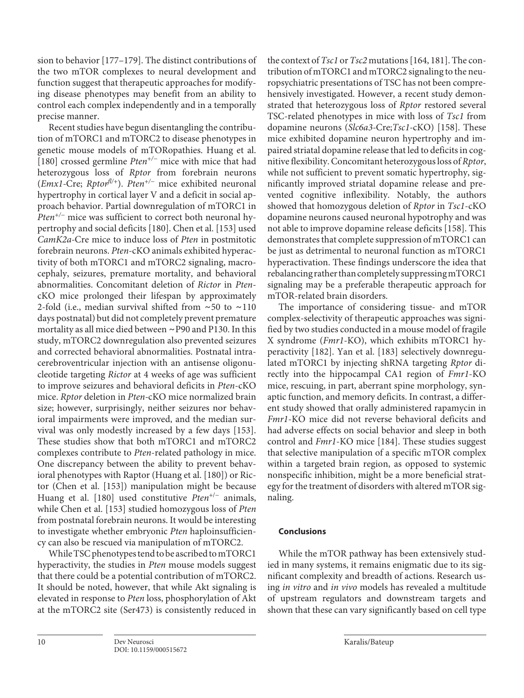<span id="page-9-0"></span>sion to behavior [\[1](#page-10-0)[77](#page-10-6)–[1](#page-10-0)[7](#page-10-6)[9\]](#page-10-8). The distinct contributions of the two mTOR complexes to neural development and function suggest that therapeutic approaches for modifying disease phenotypes may benefit from an ability to control each complex independently and in a temporally precise manner.

<span id="page-9-1"></span>Recent studies have begun disentangling the contribution of mTORC1 and mTORC2 to disease phenotypes in genetic mouse models of mTORopathies. Huang et al. [\[1](#page-10-0)[80](#page-10-7)] crossed germline *Pten+/−* mice with mice that had heterozygous loss of *Rptor* from forebrain neurons (*Emx1-*Cre; *Rptorfl/+*). *Pten+/−* mice exhibited neuronal hypertrophy in cortical layer V and a deficit in social approach behavior. Partial downregulation of mTORC1 in *Pten<sup>+/−</sup>* mice was sufficient to correct both neuronal hypertrophy and social deficits [\[1](#page-10-0)[80](#page-10-7)]. Chen et al. [\[1](#page-10-0)[5](#page-10-4)[3\]](#page-10-2) used *CamK2a-*Cre mice to induce loss of *Pten* in postmitotic forebrain neurons. *Pten*-cKO animals exhibited hyperactivity of both mTORC1 and mTORC2 signaling, macrocephaly, seizures, premature mortality, and behavioral abnormalities. Concomitant deletion of *Rictor* in *Pten*cKO mice prolonged their lifespan by approximately 2-fold (i.e., median survival shifted from ∼50 to ∼110 days postnatal) but did not completely prevent premature mortality as all mice died between ∼P90 and P130. In this study, mTORC2 downregulation also prevented seizures and corrected behavioral abnormalities. Postnatal intracerebroventricular injection with an antisense oligonucleotide targeting *Rictor* at 4 weeks of age was sufficient to improve seizures and behavioral deficits in *Pten*-cKO mice. *Rptor* deletion in *Pten-*cKO mice normalized brain size; however, surprisingly, neither seizures nor behavioral impairments were improved, and the median survival was only modestly increased by a few days [\[1](#page-10-0)[5](#page-10-4)[3\]](#page-10-2). These studies show that both mTORC1 and mTORC2 complexes contribute to *Pten*-related pathology in mice. One discrepancy between the ability to prevent behavioral phenotypes with Raptor (Huang et al. [\[1](#page-10-0)[80](#page-10-7)]) or Rictor (Chen et al. [\[1](#page-10-0)[5](#page-10-4)[3\]](#page-10-2)) manipulation might be because Huang et al. [\[1](#page-10-0)[80](#page-10-7)] used constitutive *Pten*+/− animals, while Chen et al. [[1](#page-10-0)[5](#page-10-4)[3](#page-10-2)] studied homozygous loss of *Pten* from postnatal forebrain neurons. It would be interesting to investigate whether embryonic *Pten* haploinsufficiency can also be rescued via manipulation of mTORC2.

While TSC phenotypes tend to be ascribed to mTORC1 hyperactivity, the studies in *Pten* mouse models suggest that there could be a potential contribution of mTORC2. It should be noted, however, that while Akt signaling is elevated in response to *Pten* loss, phosphorylation of Akt at the mTORC2 site (Ser473) is consistently reduced in

the context of *Tsc1* or *Tsc2* mutations [[1](#page-10-0)[6](#page-10-5)[4](#page-10-3), [1](#page-10-0)[8](#page-10-7)[1\]](#page-10-0). The contribution of mTORC1 and mTORC2 signaling to the neuropsychiatric presentations of TSC has not been comprehensively investigated. However, a recent study demonstrated that heterozygous loss of *Rptor* restored several TSC-related phenotypes in mice with loss of *Tsc1* from dopamine neurons (*Slc6a3-*Cre;*Tsc1-*cKO) [[1](#page-10-0)[5](#page-10-4)[8\]](#page-10-7). These mice exhibited dopamine neuron hypertrophy and impaired striatal dopamine release that led to deficits in cognitive flexibility. Concomitant heterozygous loss of *Rptor*, while not sufficient to prevent somatic hypertrophy, significantly improved striatal dopamine release and prevented cognitive inflexibility. Notably, the authors showed that homozygous deletion of *Rptor* in *Tsc1*-cKO dopamine neurons caused neuronal hypotrophy and was not able to improve dopamine release deficits [[1](#page-10-0)[5](#page-10-4)[8\]](#page-10-7). This demonstrates that complete suppression of mTORC1 can be just as detrimental to neuronal function as mTORC1 hyperactivation. These findings underscore the idea that rebalancing rather than completely suppressing mTORC1 signaling may be a preferable therapeutic approach for mTOR-related brain disorders.

The importance of considering tissue- and mTOR complex-selectivity of therapeutic approaches was signified by two studies conducted in a mouse model of fragile X syndrome (*Fmr1*-KO), which exhibits mTORC1 hyperactivity [[1](#page-10-0)[8](#page-10-7)[2\]](#page-10-1). Yan et al. [\[1](#page-10-0)[8](#page-10-7)[3\]](#page-10-2) selectively downregulated mTORC1 by injecting shRNA targeting *Rptor* directly into the hippocampal CA1 region of *Fmr1*-KO mice, rescuing, in part, aberrant spine morphology, synaptic function, and memory deficits. In contrast, a different study showed that orally administered rapamycin in *Fmr1*-KO mice did not reverse behavioral deficits and had adverse effects on social behavior and sleep in both control and *Fmr1*-KO mice [[1](#page-10-0)[8](#page-10-7)[4\]](#page-10-3). These studies suggest that selective manipulation of a specific mTOR complex within a targeted brain region, as opposed to systemic nonspecific inhibition, might be a more beneficial strategy for the treatment of disorders with altered mTOR signaling.

## **Conclusions**

While the mTOR pathway has been extensively studied in many systems, it remains enigmatic due to its significant complexity and breadth of actions. Research using *in vitro* and *in vivo* models has revealed a multitude of upstream regulators and downstream targets and shown that these can vary significantly based on cell type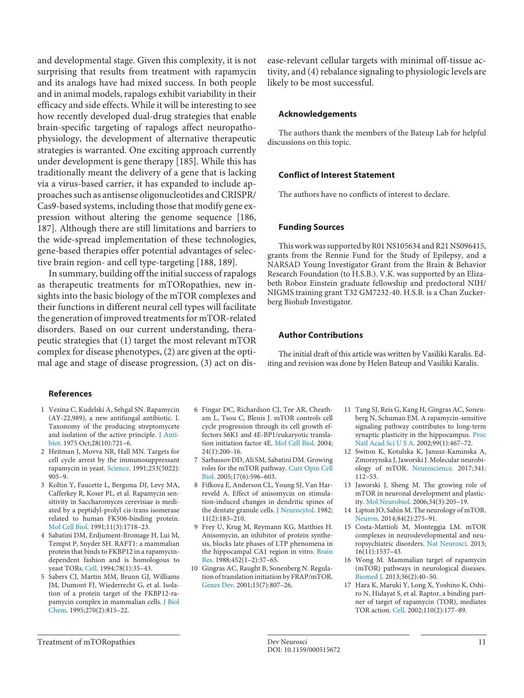and developmental stage. Given this complexity, it is not surprising that results from treatment with rapamycin and its analogs have had mixed success. In both people and in animal models, rapalogs exhibit variability in their efficacy and side effects. While it will be interesting to see how recently developed dual-drug strategies that enable brain-specific targeting of rapalogs affect neuropathophysiology, the development of alternative therapeutic strategies is warranted. One exciting approach currently under development is gene therapy [[1](#page-10-0)[8](#page-10-7)[5\]](#page-10-4). While this has traditionally meant the delivery of a gene that is lacking via a virus-based carrier, it has expanded to include approaches such as antisense oligonucleotides and CRISPR/ Cas9-based systems, including those that modify gene expression without altering the genome sequence [[1](#page-10-0)[8](#page-10-7)[6,](#page-10-5) [1](#page-10-0)[8](#page-10-7)[7](#page-10-6)]. Although there are still limitations and barriers to the wide-spread implementation of these technologies, gene-based therapies offer potential advantages of selective brain region- and cell type-targeting [\[1](#page-10-0)[88,](#page-10-7) [1](#page-10-0)[8](#page-10-7)[9\]](#page-10-8).

In summary, building off the initial success of rapalogs as therapeutic treatments for mTORopathies, new insights into the basic biology of the mTOR complexes and their functions in different neural cell types will facilitate the generation of improved treatments for mTOR-related disorders. Based on our current understanding, therapeutic strategies that (1) target the most relevant mTOR complex for disease phenotypes, (2) are given at the optimal age and stage of disease progression, (3) act on disease-relevant cellular targets with minimal off-tissue activity, and (4) rebalance signaling to physiologic levels are likely to be most successful.

## **Acknowledgements**

The authors thank the members of the Bateup Lab for helpful discussions on this topic.

## **Conflict of Interest Statement**

The authors have no conflicts of interest to declare.

#### **Funding Sources**

This work was supported by R01 NS105634 and R21 NS096415, grants from the Rennie Fund for the Study of Epilepsy, and a NARSAD Young Investigator Grant from the Brain & Behavior Research Foundation (to H.S.B.). V.K. was supported by an Elizabeth Roboz Einstein graduate fellowship and predoctoral NIH/ NIGMS training grant T32 GM7232-40. H.S.B. is a Chan Zuckerberg Biohub Investigator.

#### **Author Contributions**

The initial draft of this article was written by Vasiliki Karalis. Editing and revision was done by Helen Bateup and Vasiliki Karalis.

#### **References**

- <span id="page-10-0"></span>[1](#page-1-0) Vezina C, Kudelski A, Sehgal SN. Rapamycin (AY-22,989), a new antifungal antibiotic. I. Taxonomy of the producing streptomycete and isolation of the active principle. [J Anti](https://www.karger.com/Article/FullText/515672?ref=1#ref1)[biot](https://www.karger.com/Article/FullText/515672?ref=1#ref1). 1975 Oct;28(10):721–6.
- <span id="page-10-1"></span>[2](#page-1-1) Heitman J, Movva NR, Hall MN. Targets for cell cycle arrest by the immunosuppressant rapamycin in yeast. [Science.](https://www.karger.com/Article/FullText/515672?ref=2#ref2) 1991;253(5022): 905–9.
- <span id="page-10-2"></span>[3](#page-1-1) Koltin Y, Faucette L, Bergsma DJ, Levy MA, Cafferkey R, Koser PL, et al. Rapamycin sensitivity in Saccharomyces cerevisiae is mediated by a peptidyl-prolyl cis-trans isomerase related to human FK506-binding protein. [Mol Cell Biol](https://www.karger.com/Article/FullText/515672?ref=3#ref3). 1991;11(3):1718–23.
- <span id="page-10-3"></span>[4](#page-1-2) Sabatini DM, Erdjument-Bromage H, Lui M, Tempst P, Snyder SH. RAFT1: a mammalian protein that binds to FKBP12 in a rapamycindependent fashion and is homologous to yeast TORs. [Cell.](https://www.karger.com/Article/FullText/515672?ref=4#ref4) 1994;78(1):35–43.
- <span id="page-10-4"></span>[5](#page-1-2) Sabers CJ, Martin MM, Brunn GJ, Williams JM, Dumont FJ, Wiederrecht G, et al. Isolation of a protein target of the FKBP12-rapamycin complex in mammalian cells. [J Biol](https://www.karger.com/Article/FullText/515672?ref=5#ref5) [Chem](https://www.karger.com/Article/FullText/515672?ref=5#ref5). 1995;270(2):815–22.
- <span id="page-10-5"></span>[6](#page-1-3) Fingar DC, Richardson CJ, Tee AR, Cheatham L, Tsou C, Blenis J. mTOR controls cell cycle progression through its cell growth effectors S6K1 and 4E-BP1/eukaryotic translation initiation factor 4E. [Mol Cell Biol.](https://www.karger.com/Article/FullText/515672?ref=6#ref6) 2004; 24(1):200–16.
- <span id="page-10-6"></span>[7](#page-1-4) Sarbassov DD, Ali SM, Sabatini DM. Growing roles for the mTOR pathway. [Curr Opin Cell](https://www.karger.com/Article/FullText/515672?ref=7#ref7) [Biol.](https://www.karger.com/Article/FullText/515672?ref=7#ref7) 2005;17(6):596–603.
- <span id="page-10-7"></span>[8](#page-1-5) Fifkova E, Anderson CL, Young SJ, Van Harreveld A. Effect of anisomycin on stimulation-induced changes in dendritic spines of the dentate granule cells. [J Neurocytol.](https://www.karger.com/Article/FullText/515672?ref=8#ref8) 1982; 11(2):183–210.
- <span id="page-10-8"></span>[9](#page-1-5) Frey U, Krug M, Reymann KG, Matthies H. Anisomycin, an inhibitor of protein synthesis, blocks late phases of LTP phenomena in the hippocampal CA1 region in vitro. [Brain](https://www.karger.com/Article/FullText/515672?ref=9#ref9) [Res](https://www.karger.com/Article/FullText/515672?ref=9#ref9). 1988;452(1–2):57–65.
- [10](#page-1-6) Gingras AC, Raught B, Sonenberg N. Regulation of translation initiation by FRAP/mTOR. [Genes Dev](https://www.karger.com/Article/FullText/515672?ref=10#ref10). 2001;15(7):807–26.
- [11](#page-1-7) Tang SJ, Reis G, Kang H, Gingras AC, Sonenberg N, Schuman EM. A rapamycin-sensitive signaling pathway contributes to long-term synaptic plasticity in the hippocampus. [Proc](https://www.karger.com/Article/FullText/515672?ref=11#ref11)  [Natl Acad Sci U S A](https://www.karger.com/Article/FullText/515672?ref=11#ref11). 2002;99(1):467–72.
- [12](#page-2-0) Switon K, Kotulska K, Janusz-Kaminska A, Zmorzynska J, Jaworski J. Molecular neurobiology of mTOR. [Neuroscience.](https://www.karger.com/Article/FullText/515672?ref=12#ref12) 2017;341: 112–53.
- [13](#page-2-0) Jaworski J, Sheng M. The growing role of mTOR in neuronal development and plasticity. [Mol Neurobiol.](https://www.karger.com/Article/FullText/515672?ref=13#ref13) 2006;34(3):205–19.
- [14](#page-2-1) Lipton JO, Sahin M. The neurology of mTOR. [Neuron.](https://www.karger.com/Article/FullText/515672?ref=14#ref14) 2014;84(2):275–91.
- [15](#page-2-1) Costa-Mattioli M, Monteggia LM. mTOR complexes in neurodevelopmental and neuropsychiatric disorders. [Nat Neurosci](https://www.karger.com/Article/FullText/515672?ref=15#ref15). 2013; 16(11):1537–43.
- [16](#page-2-1) Wong M. Mammalian target of rapamycin (mTOR) pathways in neurological diseases. [Biomed J](https://www.karger.com/Article/FullText/515672?ref=16#ref16). 2013;36(2):40–50.
- [17](#page-2-2) Hara K, Maruki Y, Long X, Yoshino K, Oshiro N, Hidayat S, et al. Raptor, a binding partner of target of rapamycin (TOR), mediates TOR action. [Cell.](https://www.karger.com/Article/FullText/515672?ref=17#ref17) 2002;110(2):177–89.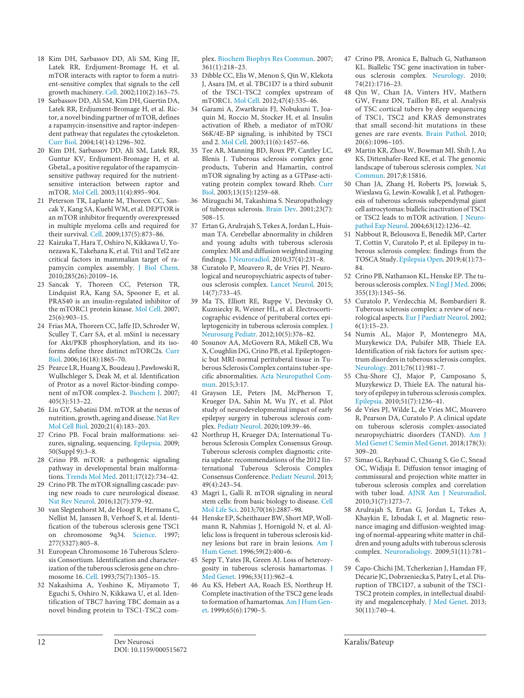- [18](#page-2-2) Kim DH, Sarbassov DD, Ali SM, King JE, Latek RR, Erdjument-Bromage H, et al. mTOR interacts with raptor to form a nutrient-sensitive complex that signals to the cell growth machinery. [Cell.](https://www.karger.com/Article/FullText/515672?ref=18#ref18) 2002;110(2):163–75.
- [19](#page-2-3) Sarbassov DD, Ali SM, Kim DH, Guertin DA, Latek RR, Erdjument-Bromage H, et al. Rictor, a novel binding partner of mTOR, defines a rapamycin-insensitive and raptor-independent pathway that regulates the cytoskeleton. [Curr Biol](https://www.karger.com/Article/FullText/515672?ref=19#ref19). 2004;14(14):1296–302.
- [20](#page-2-4) Kim DH, Sarbassov DD, Ali SM, Latek RR, Guntur KV, Erdjument-Bromage H, et al. GbetaL, a positive regulator of the rapamycinsensitive pathway required for the nutrientsensitive interaction between raptor and mTOR. [Mol Cell.](https://www.karger.com/Article/FullText/515672?ref=20#ref20) 2003;11(4):895–904.
- [21](#page-2-4) Peterson TR, Laplante M, Thoreen CC, Sancak Y, Kang SA, Kuehl WM, et al. DEPTOR is an mTOR inhibitor frequently overexpressed in multiple myeloma cells and required for their survival. [Cell.](https://www.karger.com/Article/FullText/515672?ref=21#ref21) 2009;137(5):873–86.
- [22](#page-2-4) Kaizuka T, Hara T, Oshiro N, Kikkawa U, Yonezawa K, Takehana K, et al. Tti1 and Tel2 are critical factors in mammalian target of rapamycin complex assembly. [J Biol Chem](https://www.karger.com/Article/FullText/515672?ref=22#ref22). 2010;285(26):20109–16.
- [23](#page-2-5) Sancak Y, Thoreen CC, Peterson TR, Lindquist RA, Kang SA, Spooner E, et al. PRAS40 is an insulin-regulated inhibitor of the mTORC1 protein kinase. [Mol Cell](https://www.karger.com/Article/FullText/515672?ref=23#ref23). 2007; 25(6):903–15.
- [24](#page-2-6) Frias MA, Thoreen CC, Jaffe JD, Schroder W, Sculley T, Carr SA, et al. mSin1 is necessary for Akt/PKB phosphorylation, and its isoforms define three distinct mTORC2s. [Curr](https://www.karger.com/Article/FullText/515672?ref=24#ref24) [Biol.](https://www.karger.com/Article/FullText/515672?ref=24#ref24) 2006;16(18):1865–70.
- [25](#page-2-6) Pearce LR, Huang X, Boudeau J, Pawłowski R, Wullschleger S, Deak M, et al. Identification of Protor as a novel Rictor-binding component of mTOR complex-2. [Biochem J.](https://www.karger.com/Article/FullText/515672?ref=25#ref25) 2007; 405(3):513–22.
- [26](#page-2-7) Liu GY, Sabatini DM. mTOR at the nexus of nutrition, growth, ageing and disease. [Nat Rev](https://www.karger.com/Article/FullText/515672?ref=26#ref26) [Mol Cell Biol](https://www.karger.com/Article/FullText/515672?ref=26#ref26). 2020;21(4):183–203.
- [27](#page-2-8) Crino PB. Focal brain malformations: seizures, signaling, sequencing. [Epilepsia](https://www.karger.com/Article/FullText/515672?ref=27#ref27). 2009; 50(Suppl 9):3–8.
- [28](#page-2-8) Crino PB. mTOR: a pathogenic signaling pathway in developmental brain malformations. [Trends Mol Med.](https://www.karger.com/Article/FullText/515672?ref=28#ref28) 2011;17(12):734–42.
- [29](#page-2-9) Crino PB. The mTOR signalling cascade: paving new roads to cure neurological disease. [Nat Rev Neurol](https://www.karger.com/Article/FullText/515672?ref=29#ref29). 2016;12(7):379–92.
- [30](#page-2-10) van Slegtenhorst M, de Hoogt R, Hermans C, Nellist M, Janssen B, Verhoef S, et al. Identification of the tuberous sclerosis gene TSC1 on chromosome 9q34. [Science.](https://www.karger.com/Article/FullText/515672?ref=30#ref30) 1997; 277(5327):805–8.
- [31](#page-2-10) European Chromosome 16 Tuberous Sclerosis Consortium. Identification and characterization of the tuberous sclerosis gene on chromosome 16. [Cell](https://www.karger.com/Article/FullText/515672?ref=31#ref31). 1993;75(7):1305–15.
- [32](#page-2-11) Nakashima A, Yoshino K, Miyamoto T, Eguchi S, Oshiro N, Kikkawa U, et al. Identification of TBC7 having TBC domain as a novel binding protein to TSC1-TSC2 com-

plex. [Biochem Biophys Res Commun](https://www.karger.com/Article/FullText/515672?ref=32#ref32). 2007; 361(1):218–23.

- [33](#page-2-11) Dibble CC, Elis W, Menon S, Qin W, Klekota J, Asara JM, et al. TBC1D7 is a third subunit of the TSC1-TSC2 complex upstream of mTORC1. [Mol Cell.](https://www.karger.com/Article/FullText/515672?ref=33#ref33) 2012;47(4):535–46.
- [34](#page-2-11) Garami A, Zwartkruis FJ, Nobukuni T, Joaquin M, Roccio M, Stocker H, et al. Insulin activation of Rheb, a mediator of mTOR/ S6K/4E-BP signaling, is inhibited by TSC1 and 2. [Mol Cell](https://www.karger.com/Article/FullText/515672?ref=34#ref34). 2003;11(6):1457–66.
- [35](#page-2-12) Tee AR, Manning BD, Roux PP, Cantley LC, Blenis J. Tuberous sclerosis complex gene products, Tuberin and Hamartin, control mTOR signaling by acting as a GTPase-activating protein complex toward Rheb. [Curr](https://www.karger.com/Article/FullText/515672?ref=35#ref35) [Biol.](https://www.karger.com/Article/FullText/515672?ref=35#ref35) 2003;13(15):1259–68.
- [36](#page-2-13) Mizuguchi M, Takashima S. Neuropathology of tuberous sclerosis. [Brain Dev.](https://www.karger.com/Article/FullText/515672?ref=36#ref36) 2001;23(7): 508–15.
- [37](#page-2-14) Ertan G, Arulrajah S, Tekes A, Jordan L, Huisman TA. Cerebellar abnormality in children and young adults with tuberous sclerosis complex: MR and diffusion weighted imaging findings. [J Neuroradiol.](https://www.karger.com/Article/FullText/515672?ref=37#ref37) 2010;37(4):231–8.
- [38](#page-2-14) Curatolo P, Moavero R, de Vries PJ. Neurological and neuropsychiatric aspects of tuberous sclerosis complex. [Lancet Neurol.](https://www.karger.com/Article/FullText/515672?ref=38#ref38) 2015; 14(7):733–45.
- [39](#page-2-15) Ma TS, Elliott RE, Ruppe V, Devinsky O, Kuzniecky R, Weiner HL, et al. Electrocorticographic evidence of perituberal cortex epileptogenicity in tuberous sclerosis complex. [J](https://www.karger.com/Article/FullText/515672?ref=39#ref39) [Neurosurg Pediatr](https://www.karger.com/Article/FullText/515672?ref=39#ref39). 2012;10(5):376–82.
- [40](#page-2-15) Sosunov AA, McGovern RA, Mikell CB, Wu X, Coughlin DG, Crino PB, et al. Epileptogenic but MRI-normal perituberal tissue in Tuberous Sclerosis Complex contains tuber-specific abnormalities. [Acta Neuropathol Com](https://www.karger.com/Article/FullText/515672?ref=40#ref40)[mun](https://www.karger.com/Article/FullText/515672?ref=40#ref40). 2015;3:17.
- [41](#page-2-16) Grayson LE, Peters JM, McPherson T, Krueger DA, Sahin M, Wu JY, et al. Pilot study of neurodevelopmental impact of early epilepsy surgery in tuberous sclerosis complex. [Pediatr Neurol](https://www.karger.com/Article/FullText/515672?ref=41#ref41). 2020;109:39–46.
- [42](#page-2-17) Northrup H, Krueger DA; International Tuberous Sclerosis Complex Consensus Group. Tuberous sclerosis complex diagnostic criteria update: recommendations of the 2012 Iinternational Tuberous Sclerosis Complex Consensus Conference. [Pediatr Neurol](https://www.karger.com/Article/FullText/515672?ref=42#ref42). 2013; 49(4):243–54.
- [43](#page-3-0) Magri L, Galli R. mTOR signaling in neural stem cells: from basic biology to disease. [Cell](https://www.karger.com/Article/FullText/515672?ref=43#ref43) [Mol Life Sci](https://www.karger.com/Article/FullText/515672?ref=43#ref43). 2013;70(16):2887–98.
- [44](#page-3-1) Henske EP, Scheithauer BW, Short MP, Wollmann R, Nahmias J, Hornigold N, et al. Allelic loss is frequent in tuberous sclerosis kidney lesions but rare in brain lesions. [Am J](https://www.karger.com/Article/FullText/515672?ref=44#ref44) [Hum Genet.](https://www.karger.com/Article/FullText/515672?ref=44#ref44) 1996;59(2):400–6.
- [45](#page-3-1) Sepp T, Yates JR, Green AJ. Loss of heterozygosity in tuberous sclerosis hamartomas. [J](https://www.karger.com/Article/FullText/515672?ref=45#ref45) [Med Genet.](https://www.karger.com/Article/FullText/515672?ref=45#ref45) 1996;33(11):962–4.
- [46](#page-3-1) Au KS, Hebert AA, Roach ES, Northrup H. Complete inactivation of the TSC2 gene leads to formation of hamartomas. [Am J Hum Gen](https://www.karger.com/Article/FullText/515672?ref=46#ref46)[et.](https://www.karger.com/Article/FullText/515672?ref=46#ref46) 1999;65(6):1790–5.
- [47](#page-3-2) Crino PB, Aronica E, Baltuch G, Nathanson KL. Biallelic TSC gene inactivation in tuberous sclerosis complex. [Neurology](https://www.karger.com/Article/FullText/515672?ref=47#ref47). 2010; 74(21):1716–23.
- [48](#page-3-2) Qin W, Chan JA, Vinters HV, Mathern GW, Franz DN, Taillon BE, et al. Analysis of TSC cortical tubers by deep sequencing of TSC1, TSC2 and KRAS demonstrates that small second-hit mutations in these genes are rare events. [Brain Pathol](https://www.karger.com/Article/FullText/515672?ref=48#ref48). 2010;  $20(6) \cdot 1096 - 105$
- [49](#page-3-2) Martin KR, Zhou W, Bowman MJ, Shih J, Au KS, Dittenhafer-Reed KE, et al. The genomic landscape of tuberous sclerosis complex. [Nat](https://www.karger.com/Article/FullText/515672?ref=49#ref49)  [Commun](https://www.karger.com/Article/FullText/515672?ref=49#ref49). 2017;8:15816.
- [50](#page-3-2) Chan JA, Zhang H, Roberts PS, Jozwiak S, Wieslawa G, Lewin-Kowalik J, et al. Pathogenesis of tuberous sclerosis subependymal giant cell astrocytomas: biallelic inactivation of TSC1 or TSC2 leads to mTOR activation. [J Neuro](https://www.karger.com/Article/FullText/515672?ref=50#ref50)[pathol Exp Neurol](https://www.karger.com/Article/FullText/515672?ref=50#ref50). 2004;63(12):1236–42.
- [51](#page-3-3) Nabbout R, Belousova E, Benedik MP, Carter T, Cottin V, Curatolo P, et al. Epilepsy in tuberous sclerosis complex: findings from the TOSCA Study. [Epilepsia Open.](https://www.karger.com/Article/FullText/515672?ref=51#ref51) 2019;4(1):73– 84.
- [52](#page-3-3) Crino PB, Nathanson KL, Henske EP. The tuberous sclerosis complex. [N Engl J Med.](https://www.karger.com/Article/FullText/515672?ref=52#ref52) 2006; 355(13):1345–56.
- [53](#page-3-4) Curatolo P, Verdecchia M, Bombardieri R. Tuberous sclerosis complex: a review of neurological aspects. [Eur J Paediatr Neurol.](https://www.karger.com/Article/FullText/515672?ref=53#ref53) 2002;  $6(1):15-23.$
- [54](#page-3-4) Numis AL, Major P, Montenegro MA, Muzykewicz DA, Pulsifer MB, Thiele EA. Identification of risk factors for autism spectrum disorders in tuberous sclerosis complex. [Neurology](https://www.karger.com/Article/FullText/515672?ref=54#ref54). 2011;76(11):981–7.
- [55](#page-3-4) Chu-Shore CJ, Major P, Camposano S, Muzykewicz D, Thiele EA. The natural history of epilepsy in tuberous sclerosis complex. [Epilepsia.](https://www.karger.com/Article/FullText/515672?ref=55#ref55) 2010;51(7):1236–41.
- [56](#page-3-4) de Vries PJ, Wilde L, de Vries MC, Moavero R, Pearson DA, Curatolo P. A clinical update on tuberous sclerosis complex-associated neuropsychiatric disorders (TAND). [Am J](https://www.karger.com/Article/FullText/515672?ref=56#ref56)  [Med Genet C Semin Med Genet](https://www.karger.com/Article/FullText/515672?ref=56#ref56). 2018;178(3): 309–20.
- [57](#page-3-5) Simao G, Raybaud C, Chuang S, Go C, Snead OC, Widjaja E. Diffusion tensor imaging of commissural and projection white matter in tuberous sclerosis complex and correlation with tuber load. [AJNR Am J Neuroradiol.](https://www.karger.com/Article/FullText/515672?ref=57#ref57) 2010;31(7):1273–7.
- [58](#page-3-5) Arulrajah S, Ertan G, Jordan L, Tekes A, Khaykin E, Izbudak I, et al. Magnetic resonance imaging and diffusion-weighted imaging of normal-appearing white matter in children and young adults with tuberous sclerosis complex. [Neuroradiology.](https://www.karger.com/Article/FullText/515672?ref=58#ref58) 2009;51(11):781– 6.
- [59](#page-3-6) Capo-Chichi JM, Tcherkezian J, Hamdan FF, Décarie JC, Dobrzeniecka S, Patry L, et al. Disruption of TBC1D7, a subunit of the TSC1- TSC2 protein complex, in intellectual disability and megalencephaly. [J Med Genet.](https://www.karger.com/Article/FullText/515672?ref=59#ref59) 2013; 50(11):740–4.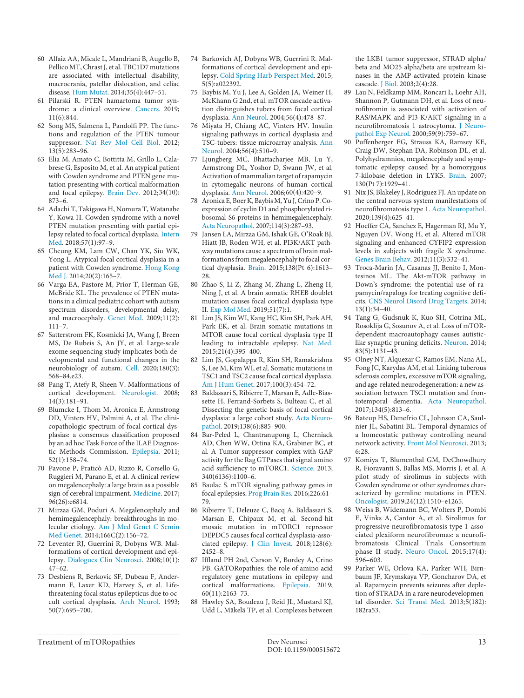- [60](#page-3-6) Alfaiz AA, Micale L, Mandriani B, Augello B, Pellico MT, Chrast J, et al. TBC1D7 mutations are associated with intellectual disability, macrocrania, patellar dislocation, and celiac disease. [Hum Mutat](https://www.karger.com/Article/FullText/515672?ref=60#ref60). 2014;35(4):447–51.
- [61](#page-3-7) Pilarski R. PTEN hamartoma tumor syndrome: a clinical overview. [Cancers.](https://www.karger.com/Article/FullText/515672?ref=61#ref61) 2019; 11(6):844.
- [62](#page-4-0) Song MS, Salmena L, Pandolfi PP. The functions and regulation of the PTEN tumour suppressor. [Nat Rev Mol Cell Biol](https://www.karger.com/Article/FullText/515672?ref=62#ref62). 2012; 13(5):283–96.
- [63](#page-4-1) Elia M, Amato C, Bottitta M, Grillo L, Calabrese G, Esposito M, et al. An atypical patient with Cowden syndrome and PTEN gene mutation presenting with cortical malformation and focal epilepsy. [Brain Dev](https://www.karger.com/Article/FullText/515672?ref=63#ref63). 2012;34(10): 873–6.
- [64](#page-4-1) Adachi T, Takigawa H, Nomura T, Watanabe Y, Kowa H. Cowden syndrome with a novel PTEN mutation presenting with partial epilepsy related to focal cortical dysplasia. [Intern](https://www.karger.com/Article/FullText/515672?ref=64#ref64) [Med](https://www.karger.com/Article/FullText/515672?ref=64#ref64). 2018;57(1):97–9.
- [65](#page-4-1) Cheung KM, Lam CW, Chan YK, Siu WK, Yong L. Atypical focal cortical dysplasia in a patient with Cowden syndrome. [Hong Kong](https://www.karger.com/Article/FullText/515672?ref=65#ref65) [Med J](https://www.karger.com/Article/FullText/515672?ref=65#ref65). 2014;20(2):165–7.
- [66](#page-4-2) Varga EA, Pastore M, Prior T, Herman GE, McBride KL. The prevalence of PTEN mutations in a clinical pediatric cohort with autism spectrum disorders, developmental delay, and macrocephaly. [Genet Med](https://www.karger.com/Article/FullText/515672?ref=66#ref66). 2009;11(2): 111–7.
- [67](#page-4-2) Satterstrom FK, Kosmicki JA, Wang J, Breen MS, De Rubeis S, An JY, et al. Large-scale exome sequencing study implicates both developmental and functional changes in the neurobiology of autism. [Cell](https://www.karger.com/Article/FullText/515672?ref=67#ref67). 2020;180(3): 568–84.e23.
- [68](#page-4-3) Pang T, Atefy R, Sheen V. Malformations of cortical development. [Neurologist.](https://www.karger.com/Article/FullText/515672?ref=68#ref68) 2008; 14(3):181–91.
- [69](#page-4-4) Blumcke I, Thom M, Aronica E, Armstrong DD, Vinters HV, Palmini A, et al. The clinicopathologic spectrum of focal cortical dysplasias: a consensus classification proposed by an ad hoc Task Force of the ILAE Diagnostic Methods Commission. [Epilepsia](https://www.karger.com/Article/FullText/515672?ref=69#ref69). 2011; 52(1):158–74.
- [70](#page-4-5) Pavone P, Praticò AD, Rizzo R, Corsello G, Ruggieri M, Parano E, et al. A clinical review on megalencephaly: a large brain as a possible sign of cerebral impairment. [Medicine.](https://www.karger.com/Article/FullText/515672?ref=70#ref70) 2017; 96(26):e6814.
- [71](#page-4-5) Mirzaa GM, Poduri A. Megalencephaly and hemimegalencephaly: breakthroughs in molecular etiology. [Am J Med Genet C Semin](https://www.karger.com/Article/FullText/515672?ref=71#ref71) [Med Genet](https://www.karger.com/Article/FullText/515672?ref=71#ref71). 2014;166C(2):156–72.
- [72](#page-4-6) Leventer RJ, Guerrini R, Dobyns WB. Malformations of cortical development and epilepsy. [Dialogues Clin Neurosci](https://www.karger.com/Article/FullText/515672?ref=72#ref72). 2008;10(1): 47–62.
- [73](#page-4-7) Desbiens R, Berkovic SF, Dubeau F, Andermann F, Laxer KD, Harvey S, et al. Lifethreatening focal status epilepticus due to occult cortical dysplasia. [Arch Neurol](https://www.karger.com/Article/FullText/515672?ref=73#ref73). 1993; 50(7):695–700.
- [74](#page-4-7) Barkovich AJ, Dobyns WB, Guerrini R. Malformations of cortical development and epilepsy. [Cold Spring Harb Perspect Med.](https://www.karger.com/Article/FullText/515672?ref=74#ref74) 2015; 5(5):a022392.
- [75](#page-4-8) Baybis M, Yu J, Lee A, Golden JA, Weiner H, McKhann G 2nd, et al. mTOR cascade activation distinguishes tubers from focal cortical dysplasia. [Ann Neurol](https://www.karger.com/Article/FullText/515672?ref=75#ref75). 2004;56(4):478–87.
- [76](#page-4-8) Miyata H, Chiang AC, Vinters HV. Insulin signaling pathways in cortical dysplasia and TSC-tubers: tissue microarray analysis. [Ann](https://www.karger.com/Article/FullText/515672?ref=76#ref76) [Neurol.](https://www.karger.com/Article/FullText/515672?ref=76#ref76) 2004;56(4):510–9.
- [77](#page-4-8) Ljungberg MC, Bhattacharjee MB, Lu Y, Armstrong DL, Yoshor D, Swann JW, et al. Activation of mammalian target of rapamycin in cytomegalic neurons of human cortical dysplasia. [Ann Neurol](https://www.karger.com/Article/FullText/515672?ref=77#ref77). 2006;60(4):420–9.
- [78](#page-4-8) Aronica E, Boer K, Baybis M, Yu J, Crino P. Coexpression of cyclin D1 and phosphorylated ribosomal S6 proteins in hemimegalencephaly. [Acta Neuropathol](https://www.karger.com/Article/FullText/515672?ref=78#ref78). 2007;114(3):287–93.
- [79](#page-4-9) Jansen LA, Mirzaa GM, Ishak GE, O'Roak BJ, Hiatt JB, Roden WH, et al. PI3K/AKT pathway mutations cause a spectrum of brain malformations from megalencephaly to focal cortical dysplasia. [Brain.](https://www.karger.com/Article/FullText/515672?ref=79#ref79) 2015;138(Pt 6):1613– 28.
- [80](#page-4-9) Zhao S, Li Z, Zhang M, Zhang L, Zheng H, Ning J, et al. A brain somatic RHEB doublet mutation causes focal cortical dysplasia type II. [Exp Mol Med](https://www.karger.com/Article/FullText/515672?ref=80#ref80). 2019;51(7):1.
- [81](#page-4-9) Lim JS, Kim WI, Kang HC, Kim SH, Park AH, Park EK, et al. Brain somatic mutations in MTOR cause focal cortical dysplasia type II leading to intractable epilepsy. [Nat Med.](https://www.karger.com/Article/FullText/515672?ref=81#ref81) 2015;21(4):395–400.
- [82](#page-4-9) Lim JS, Gopalappa R, Kim SH, Ramakrishna S, Lee M, Kim WI, et al. Somatic mutations in TSC1 and TSC2 cause focal cortical dysplasia. [Am J Hum Genet.](https://www.karger.com/Article/FullText/515672?ref=82#ref82) 2017;100(3):454–72.
- [83](#page-4-10) Baldassari S, Ribierre T, Marsan E, Adle-Biassette H, Ferrand-Sorbets S, Bulteau C, et al. Dissecting the genetic basis of focal cortical dysplasia: a large cohort study. [Acta Neuro](https://www.karger.com/Article/FullText/515672?ref=83#ref83)[pathol.](https://www.karger.com/Article/FullText/515672?ref=83#ref83) 2019;138(6):885–900.
- [84](#page-4-11) Bar-Peled L, Chantranupong L, Cherniack AD, Chen WW, Ottina KA, Grabiner BC, et al. A Tumor suppressor complex with GAP activity for the Rag GTPases that signal amino acid sufficiency to mTORC1. [Science.](https://www.karger.com/Article/FullText/515672?ref=84#ref84) 2013; 340(6136):1100–6.
- [85](#page-4-12) Baulac S. mTOR signaling pathway genes in focal epilepsies. [Prog Brain Res.](https://www.karger.com/Article/FullText/515672?ref=85#ref85) 2016;226:61– 79.
- [86](#page-4-12) Ribierre T, Deleuze C, Bacq A, Baldassari S, Marsan E, Chipaux M, et al. Second-hit mosaic mutation in mTORC1 repressor DEPDC5 causes focal cortical dysplasia-associated epilepsy. [J Clin Invest.](https://www.karger.com/Article/FullText/515672?ref=86#ref86) 2018;128(6): 2452–8.
- [87](#page-4-12) Iffland PH 2nd, Carson V, Bordey A, Crino PB. GATORopathies: the role of amino acid regulatory gene mutations in epilepsy and cortical malformations. [Epilepsia.](https://www.karger.com/Article/FullText/515672?ref=87#ref87) 2019; 60(11):2163–73.
- [88](#page-4-13) Hawley SA, Boudeau J, Reid JL, Mustard KJ, Udd L, Mäkelä TP, et al. Complexes between

the LKB1 tumor suppressor, STRAD alpha/ beta and MO25 alpha/beta are upstream kinases in the AMP-activated protein kinase cascade. [J Biol.](https://www.karger.com/Article/FullText/515672?ref=88#ref88) 2003;2(4):28.

- [89](#page-4-13) Lau N, Feldkamp MM, Roncari L, Loehr AH, Shannon P, Gutmann DH, et al. Loss of neurofibromin is associated with activation of RAS/MAPK and PI3-K/AKT signaling in a neurofibromatosis 1 astrocytoma. [J Neuro](https://www.karger.com/Article/FullText/515672?ref=89#ref89)[pathol Exp Neurol](https://www.karger.com/Article/FullText/515672?ref=89#ref89). 2000;59(9):759–67.
- [90](#page-4-14) Puffenberger EG, Strauss KA, Ramsey KE, Craig DW, Stephan DA, Robinson DL, et al. Polyhydramnios, megalencephaly and symptomatic epilepsy caused by a homozygous 7-kilobase deletion in LYK5. [Brain.](https://www.karger.com/Article/FullText/515672?ref=90#ref90) 2007; 130(Pt 7):1929–41.
- [91](#page-4-15) Nix JS, Blakeley J, Rodriguez FJ. An update on the central nervous system manifestations of neurofibromatosis type 1. [Acta Neuropathol.](https://www.karger.com/Article/FullText/515672?ref=91#ref91) 2020;139(4):625–41.
- [92](#page-4-16) Hoeffer CA, Sanchez E, Hagerman RJ, Mu Y, Nguyen DV, Wong H, et al. Altered mTOR signaling and enhanced CYFIP2 expression levels in subjects with fragile X syndrome. [Genes Brain Behav.](https://www.karger.com/Article/FullText/515672?ref=92#ref92) 2012;11(3):332–41.
- [93](#page-4-16) Troca-Marin JA, Casanas JJ, Benito I, Montesinos ML. The Akt-mTOR pathway in Down's syndrome: the potential use of rapamycin/rapalogs for treating cognitive deficits. [CNS Neurol Disord Drug Targets](https://www.karger.com/Article/FullText/515672?ref=93#ref93). 2014; 13(1):34–40.
- [94](#page-4-16) Tang G, Gudsnuk K, Kuo SH, Cotrina ML, Rosoklija G, Sosunov A, et al. Loss of mTORdependent macroautophagy causes autisticlike synaptic pruning deficits. [Neuron.](https://www.karger.com/Article/FullText/515672?ref=94#ref94) 2014; 83(5):1131–43.
- [95](#page-4-17) Olney NT, Alquezar C, Ramos EM, Nana AL, Fong JC, Karydas AM, et al. Linking tuberous sclerosis complex, excessive mTOR signaling, and age-related neurodegeneration: a new association between TSC1 mutation and frontotemporal dementia. [Acta Neuropathol.](https://www.karger.com/Article/FullText/515672?ref=95#ref95) 2017;134(5):813–6.
- [96](#page-4-18) Bateup HS, Denefrio CL, Johnson CA, Saulnier JL, Sabatini BL. Temporal dynamics of a homeostatic pathway controlling neural network activity. [Front Mol Neurosci.](https://www.karger.com/Article/FullText/515672?ref=96#ref96) 2013; 6:28.
- [97](#page-4-19) Komiya T, Blumenthal GM, DeChowdhury R, Fioravanti S, Ballas MS, Morris J, et al. A pilot study of sirolimus in subjects with Cowden syndrome or other syndromes characterized by germline mutations in PTEN. [Oncologist](https://www.karger.com/Article/FullText/515672?ref=97#ref97). 2019;24(12):1510–e1265.
- [98](#page-4-19) Weiss B, Widemann BC, Wolters P, Dombi E, Vinks A, Cantor A, et al. Sirolimus for progressive neurofibromatosis type 1-associated plexiform neurofibromas: a neurofibromatosis Clinical Trials Consortium phase II study. [Neuro Oncol](https://www.karger.com/Article/FullText/515672?ref=98#ref98). 2015;17(4): 596–603.
- [99](#page-4-19) Parker WE, Orlova KA, Parker WH, Birnbaum JF, Krymskaya VP, Goncharov DA, et al. Rapamycin prevents seizures after depletion of STRADA in a rare neurodevelopmental disorder. [Sci Transl Med.](https://www.karger.com/Article/FullText/515672?ref=99#ref99) 2013;5(182): 182ra53.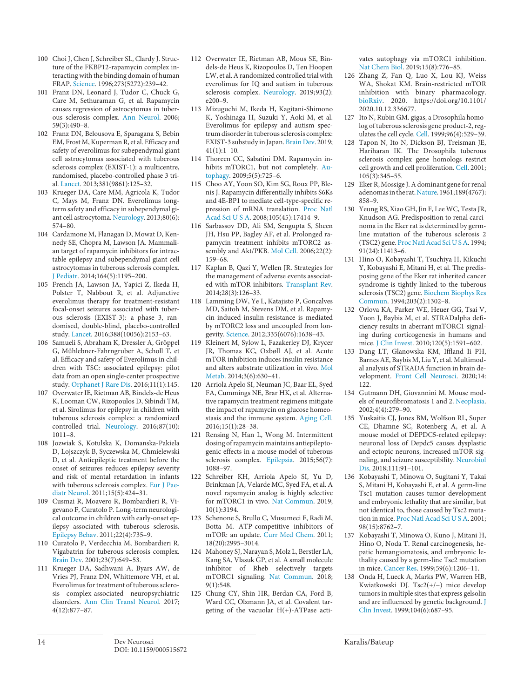- [100](#page-4-20) Choi J, Chen J, Schreiber SL, Clardy J. Structure of the FKBP12-rapamycin complex interacting with the binding domain of human FRAP. [Science.](https://www.karger.com/Article/FullText/515672?ref=100#ref100) 1996;273(5272):239–42.
- [101](#page-4-21) Franz DN, Leonard J, Tudor C, Chuck G, Care M, Sethuraman G, et al. Rapamycin causes regression of astrocytomas in tuberous sclerosis complex. [Ann Neurol.](https://www.karger.com/Article/FullText/515672?ref=101#ref101) 2006; 59(3):490–8.
- [102](#page-4-22) Franz DN, Belousova E, Sparagana S, Bebin EM, Frost M, Kuperman R, et al. Efficacy and safety of everolimus for subependymal giant cell astrocytomas associated with tuberous sclerosis complex (EXIST-1): a multicentre, randomised, placebo-controlled phase 3 trial. [Lancet.](https://www.karger.com/Article/FullText/515672?ref=102#ref102) 2013;381(9861):125–32.
- [103](#page-4-22) Krueger DA, Care MM, Agricola K, Tudor C, Mays M, Franz DN. Everolimus longterm safety and efficacy in subependymal giant cell astrocytoma. [Neurology](https://www.karger.com/Article/FullText/515672?ref=103#ref103). 2013;80(6): 574–80.
- [104](#page-4-22) Cardamone M, Flanagan D, Mowat D, Kennedy SE, Chopra M, Lawson JA. Mammalian target of rapamycin inhibitors for intractable epilepsy and subependymal giant cell astrocytomas in tuberous sclerosis complex. [J Pediatr](https://www.karger.com/Article/FullText/515672?ref=104#ref104). 2014;164(5):1195–200.
- [105](#page-4-23) French JA, Lawson JA, Yapici Z, Ikeda H, Polster T, Nabbout R, et al. Adjunctive everolimus therapy for treatment-resistant focal-onset seizures associated with tuberous sclerosis (EXIST-3): a phase 3, randomised, double-blind, placebo-controlled study. [Lancet](https://www.karger.com/Article/FullText/515672?ref=105#ref105). 2016;388(10056):2153–63.
- [106](#page-4-23) Samueli S, Abraham K, Dressler A, Gröppel G, Mühlebner-Fahrngruber A, Scholl T, et al. Efficacy and safety of Everolimus in children with TSC: associated epilepsy: pilot data from an open single-center prospective study. [Orphanet J Rare Dis](https://www.karger.com/Article/FullText/515672?ref=106#ref106). 2016;11(1):145.
- [107](#page-4-24) Overwater IE, Rietman AB, Bindels-de Heus K, Looman CW, Rizopoulos D, Sibindi TM, et al. Sirolimus for epilepsy in children with tuberous sclerosis complex: a randomized controlled trial. [Neurology.](https://www.karger.com/Article/FullText/515672?ref=107#ref107) 2016;87(10): 1011–8.
- [108](#page-4-25) Jozwiak S, Kotulska K, Domanska-Pakiela D, Lojszczyk B, Syczewska M, Chmielewski D, et al. Antiepileptic treatment before the onset of seizures reduces epilepsy severity and risk of mental retardation in infants with tuberous sclerosis complex. [Eur J Pae](https://www.karger.com/Article/FullText/515672?ref=108#ref108)[diatr Neurol.](https://www.karger.com/Article/FullText/515672?ref=108#ref108) 2011;15(5):424–31.
- [109](#page-4-25) Cusmai R, Moavero R, Bombardieri R, Vigevano F, Curatolo P. Long-term neurological outcome in children with early-onset epilepsy associated with tuberous sclerosis. [Epilepsy Behav.](https://www.karger.com/Article/FullText/515672?ref=109#ref109) 2011;22(4):735–9.
- [110](#page-4-26) Curatolo P, Verdecchia M, Bombardieri R. Vigabatrin for tuberous sclerosis complex. [Brain Dev](https://www.karger.com/Article/FullText/515672?ref=110#ref110). 2001;23(7):649–53.
- [111](#page-5-0) Krueger DA, Sadhwani A, Byars AW, de Vries PJ, Franz DN, Whittemore VH, et al. Everolimus for treatment of tuberous sclerosis complex-associated neuropsychiatric disorders. [Ann Clin Transl Neurol.](https://www.karger.com/Article/FullText/515672?ref=111#ref111) 2017; 4(12):877–87.
- [112](#page-5-1) Overwater IE, Rietman AB, Mous SE, Bindels-de Heus K, Rizopoulos D, Ten Hoopen LW, et al. A randomized controlled trial with everolimus for IQ and autism in tuberous sclerosis complex. [Neurology.](https://www.karger.com/Article/FullText/515672?ref=112#ref112) 2019;93(2): e200–9.
- [113](#page-5-2) Mizuguchi M, Ikeda H, Kagitani-Shimono K, Yoshinaga H, Suzuki Y, Aoki M, et al. Everolimus for epilepsy and autism spectrum disorder in tuberous sclerosis complex: EXIST-3 substudy in Japan. [Brain Dev.](https://www.karger.com/Article/FullText/515672?ref=113#ref113) 2019; 41(1):1–10.
- [114](#page-5-3) Thoreen CC, Sabatini DM. Rapamycin inhibits mTORC1, but not completely. [Au](https://www.karger.com/Article/FullText/515672?ref=114#ref114)[tophagy.](https://www.karger.com/Article/FullText/515672?ref=114#ref114) 2009;5(5):725–6.
- [115](#page-5-4) Choo AY, Yoon SO, Kim SG, Roux PP, Blenis J. Rapamycin differentially inhibits S6Ks and 4E-BP1 to mediate cell-type-specific repression of mRNA translation. [Proc Natl](https://www.karger.com/Article/FullText/515672?ref=115#ref115) [Acad Sci U S A.](https://www.karger.com/Article/FullText/515672?ref=115#ref115) 2008;105(45):17414–9.
- [116](#page-5-5) Sarbassov DD, Ali SM, Sengupta S, Sheen JH, Hsu PP, Bagley AF, et al. Prolonged rapamycin treatment inhibits mTORC2 as-sembly and Akt/PKB. [Mol Cell.](https://www.karger.com/Article/FullText/515672?ref=116#ref116) 2006;22(2): 159–68.
- [117](#page-5-6) Kaplan B, Qazi Y, Wellen JR. Strategies for the management of adverse events associated with mTOR inhibitors. [Transplant Rev.](https://www.karger.com/Article/FullText/515672?ref=117#ref117) 2014;28(3):126–33.
- [118](#page-5-6) Lamming DW, Ye L, Katajisto P, Goncalves MD, Saitoh M, Stevens DM, et al. Rapamycin-induced insulin resistance is mediated by mTORC2 loss and uncoupled from longevity. [Science.](https://www.karger.com/Article/FullText/515672?ref=118#ref118) 2012;335(6076):1638–43.
- [119](#page-5-6) Kleinert M, Sylow L, Fazakerley DJ, Krycer JR, Thomas KC, Oxbøll AJ, et al. Acute mTOR inhibition induces insulin resistance and alters substrate utilization in vivo. [Mol](https://www.karger.com/Article/FullText/515672?ref=119#ref119) [Metab](https://www.karger.com/Article/FullText/515672?ref=119#ref119). 2014;3(6):630–41.
- [120](#page-5-7) Arriola Apelo SI, Neuman JC, Baar EL, Syed FA, Cummings NE, Brar HK, et al. Alternative rapamycin treatment regimens mitigate the impact of rapamycin on glucose homeostasis and the immune system. [Aging Cell.](https://www.karger.com/Article/FullText/515672?ref=120#ref120) 2016;15(1):28–38.
- [121](#page-5-8) Rensing N, Han L, Wong M. Intermittent dosing of rapamycin maintains antiepileptogenic effects in a mouse model of tuberous sclerosis complex. [Epilepsia.](https://www.karger.com/Article/FullText/515672?ref=121#ref121) 2015;56(7): 1088–97.
- [122](#page-5-9) Schreiber KH, Arriola Apelo SI, Yu D, Brinkman JA, Velarde MC, Syed FA, et al. A novel rapamycin analog is highly selective for mTORC1 in vivo. [Nat Commun](https://www.karger.com/Article/FullText/515672?ref=122#ref122). 2019; 10(1):3194.
- [123](#page-5-10) Schenone S, Brullo C, Musumeci F, Radi M, Botta M. ATP-competitive inhibitors of mTOR: an update. [Curr Med Chem](https://www.karger.com/Article/FullText/515672?ref=123#ref123). 2011; 18(20):2995–3014.
- [124](#page-5-11) Mahoney SJ, Narayan S, Molz L, Berstler LA, Kang SA, Vlasuk GP, et al. A small molecule inhibitor of Rheb selectively targets mTORC1 signaling. [Nat Commun.](https://www.karger.com/Article/FullText/515672?ref=124#ref124) 2018; 9(1):548.
- [125](#page-5-12) Chung CY, Shin HR, Berdan CA, Ford B, Ward CC, Olzmann JA, et al. Covalent targeting of the vacuolar H(+)-ATPase acti-

vates autophagy via mTORC1 inhibition. [Nat Chem Biol.](https://www.karger.com/Article/FullText/515672?ref=125#ref125) 2019;15(8):776–85.

- [126](#page-5-13) Zhang Z, Fan Q, Luo X, Lou KJ, Weiss WA, Shokat KM. Brain-restricted mTOR inhibition with binary pharmacology. [bioRxiv.](https://www.karger.com/Article/FullText/515672?ref=126#ref126) 2020. https://doi.org/10.1101/ 2020.10.12.336677.
- [127](#page-6-0) Ito N, Rubin GM. gigas, a Drosophila homolog of tuberous sclerosis gene product-2, regulates the cell cycle. [Cell](https://www.karger.com/Article/FullText/515672?ref=127#ref127). 1999;96(4):529–39.
- [128](#page-6-0) Tapon N, Ito N, Dickson BJ, Treisman JE, Hariharan IK. The Drosophila tuberous sclerosis complex gene homologs restrict cell growth and cell proliferation. [Cell.](https://www.karger.com/Article/FullText/515672?ref=128#ref128) 2001;  $105(3):345-55.$
- [129](#page-6-0) Eker R, Mossige J. A dominant gene for renal adenomas in the rat. [Nature.](https://www.karger.com/Article/FullText/515672?ref=129#ref129) 1961;189(4767): 858–9.
- [130](#page-6-0) Yeung RS, Xiao GH, Jin F, Lee WC, Testa JR, Knudson AG. Predisposition to renal carcinoma in the Eker rat is determined by germline mutation of the tuberous sclerosis 2 (TSC2) gene. [Proc Natl Acad Sci U S A.](https://www.karger.com/Article/FullText/515672?ref=130#ref130) 1994; 91(24):11413–6.
- [131](#page-6-0) Hino O, Kobayashi T, Tsuchiya H, Kikuchi Y, Kobayashi E, Mitani H, et al. The predisposing gene of the Eker rat inherited cancer syndrome is tightly linked to the tuberous sclerosis (TSC2) gene. [Biochem Biophys Res](https://www.karger.com/Article/FullText/515672?ref=131#ref131)  [Commun](https://www.karger.com/Article/FullText/515672?ref=131#ref131). 1994;203(2):1302–8.
- [132](#page-6-1) Orlova KA, Parker WE, Heuer GG, Tsai V, Yoon J, Baybis M, et al. STRADalpha deficiency results in aberrant mTORC1 signaling during corticogenesis in humans and mice. [J Clin Invest.](https://www.karger.com/Article/FullText/515672?ref=132#ref132) 2010;120(5):1591–602.
- [133](#page-6-1) Dang LT, Glanowska KM, Iffland Ii PH, Barnes AE, Baybis M, Liu Y, et al. Multimodal analysis of STRADA function in brain development. [Front Cell Neurosci.](https://www.karger.com/Article/FullText/515672?ref=133#ref133) 2020;14: 122.
- [134](#page-6-2) Gutmann DH, Giovannini M. Mouse models of neurofibromatosis 1 and 2. [Neoplasia.](https://www.karger.com/Article/FullText/515672?ref=134#ref134) 2002;4(4):279–90.
- [135](#page-6-3) Yuskaitis CJ, Jones BM, Wolfson RL, Super CE, Dhamne SC, Rotenberg A, et al. A mouse model of DEPDC5-related epilepsy: neuronal loss of Depdc5 causes dysplastic and ectopic neurons, increased mTOR signaling, and seizure susceptibility. [Neurobiol](https://www.karger.com/Article/FullText/515672?ref=135#ref135)  [Dis](https://www.karger.com/Article/FullText/515672?ref=135#ref135). 2018;111:91–101.
- [136](#page-6-4) Kobayashi T, Minowa O, Sugitani Y, Takai S, Mitani H, Kobayashi E, et al. A germ-line Tsc1 mutation causes tumor development and embryonic lethality that are similar, but not identical to, those caused by Tsc2 mutation in mice. [Proc Natl Acad Sci U S A.](https://www.karger.com/Article/FullText/515672?ref=136#ref136) 2001; 98(15):8762–7.
- [137](#page-6-4) Kobayashi T, Minowa O, Kuno J, Mitani H, Hino O, Noda T. Renal carcinogenesis, hepatic hemangiomatosis, and embryonic lethality caused by a germ-line Tsc2 mutation in mice. [Cancer Res.](https://www.karger.com/Article/FullText/515672?ref=137#ref137) 1999;59(6):1206–11.
- [138](#page-6-4) Onda H, Lueck A, Marks PW, Warren HB, Kwiatkowski DJ. Tsc2(+/−) mice develop tumors in multiple sites that express gelsolin and are influenced by genetic background. [J](https://www.karger.com/Article/FullText/515672?ref=138#ref138)  [Clin Invest.](https://www.karger.com/Article/FullText/515672?ref=138#ref138) 1999;104(6):687–95.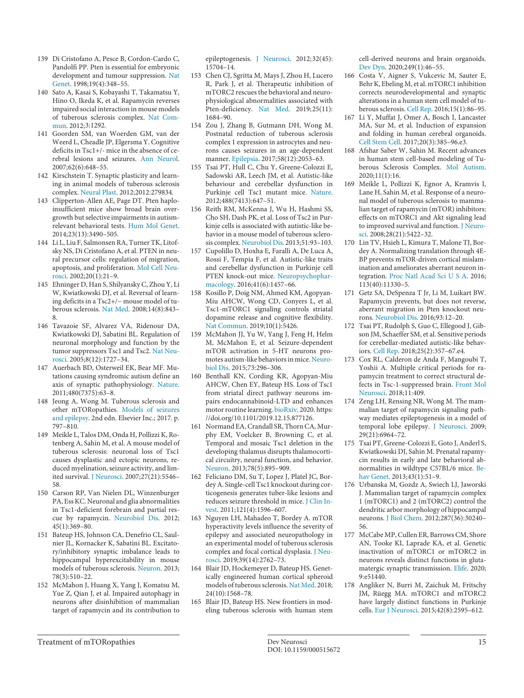- [139](#page-6-4) Di Cristofano A, Pesce B, Cordon-Cardo C, Pandolfi PP. Pten is essential for embryonic development and tumour suppression. [Nat](https://www.karger.com/Article/FullText/515672?ref=139#ref139) [Genet](https://www.karger.com/Article/FullText/515672?ref=139#ref139). 1998;19(4):348–55.
- [140](#page-6-5) Sato A, Kasai S, Kobayashi T, Takamatsu Y, Hino O, Ikeda K, et al. Rapamycin reverses impaired social interaction in mouse models of tuberous sclerosis complex. [Nat Com](https://www.karger.com/Article/FullText/515672?ref=140#ref140)[mun](https://www.karger.com/Article/FullText/515672?ref=140#ref140). 2012;3:1292.
- [141](#page-6-5) Goorden SM, van Woerden GM, van der Weerd L, Cheadle JP, Elgersma Y. Cognitive deficits in Tsc1+/- mice in the absence of cerebral lesions and seizures. [Ann Neurol](https://www.karger.com/Article/FullText/515672?ref=141#ref141). 2007;62(6):648–55.
- [142](#page-6-5) Kirschstein T. Synaptic plasticity and learning in animal models of tuberous sclerosis complex. [Neural Plast](https://www.karger.com/Article/FullText/515672?ref=142#ref142). 2012;2012:279834.
- [143](#page-6-5) Clipperton-Allen AE, Page DT. Pten haploinsufficient mice show broad brain overgrowth but selective impairments in autismrelevant behavioral tests. [Hum Mol Genet](https://www.karger.com/Article/FullText/515672?ref=143#ref143). 2014;23(13):3490–505.
- [144](#page-6-5) Li L, Liu F, Salmonsen RA, Turner TK, Litofsky NS, Di Cristofano A, et al. PTEN in neural precursor cells: regulation of migration, apoptosis, and proliferation. [Mol Cell Neu](https://www.karger.com/Article/FullText/515672?ref=144#ref144)[rosci.](https://www.karger.com/Article/FullText/515672?ref=144#ref144) 2002;20(1):21–9.
- [145](#page-6-5) Ehninger D, Han S, Shilyansky C, Zhou Y, Li W, Kwiatkowski DJ, et al. Reversal of learning deficits in a Tsc2+/− mouse model of tuberous sclerosis. [Nat Med.](https://www.karger.com/Article/FullText/515672?ref=145#ref145) 2008;14(8):843– 8.
- [146](#page-6-5) Tavazoie SF, Alvarez VA, Ridenour DA, Kwiatkowski DJ, Sabatini BL. Regulation of neuronal morphology and function by the tumor suppressors Tsc1 and Tsc2. [Nat Neu](https://www.karger.com/Article/FullText/515672?ref=146#ref146)[rosci.](https://www.karger.com/Article/FullText/515672?ref=146#ref146) 2005;8(12):1727–34.
- [147](#page-6-5) Auerbach BD, Osterweil EK, Bear MF. Mutations causing syndromic autism define an axis of synaptic pathophysiology. [Nature](https://www.karger.com/Article/FullText/515672?ref=147#ref147). 2011;480(7375):63–8.
- [148](#page-7-0) Jeong A, Wong M. Tuberous sclerosis and other mTORopathies. [Models of seizures](https://www.karger.com/Article/FullText/515672?ref=148#ref148) [and epilepsy](https://www.karger.com/Article/FullText/515672?ref=148#ref148). 2nd edn. Elsevier Inc.; 2017. p. 797–810.
- [149](#page-7-1) Meikle L, Talos DM, Onda H, Pollizzi K, Rotenberg A, Sahin M, et al. A mouse model of tuberous sclerosis: neuronal loss of Tsc1 causes dysplastic and ectopic neurons, reduced myelination, seizure activity, and limited survival. [J Neurosci.](https://www.karger.com/Article/FullText/515672?ref=149#ref149) 2007;27(21):5546– 58.
- [150](#page-7-1) Carson RP, Van Nielen DL, Winzenburger PA, Ess KC. Neuronal and glia abnormalities in Tsc1-deficient forebrain and partial rescue by rapamycin. [Neurobiol Dis.](https://www.karger.com/Article/FullText/515672?ref=150#ref150) 2012; 45(1):369–80.
- [151](#page-7-2) Bateup HS, Johnson CA, Denefrio CL, Saulnier JL, Kornacker K, Sabatini BL. Excitatory/inhibitory synaptic imbalance leads to hippocampal hyperexcitability in mouse models of tuberous sclerosis. [Neuron.](https://www.karger.com/Article/FullText/515672?ref=151#ref151) 2013; 78(3):510–22.
- [152](#page-7-2) McMahon J, Huang X, Yang J, Komatsu M, Yue Z, Qian J, et al. Impaired autophagy in neurons after disinhibition of mammalian target of rapamycin and its contribution to

epileptogenesis. [J Neurosci](https://www.karger.com/Article/FullText/515672?ref=152#ref152). 2012;32(45): 15704–14.

- [153](#page-7-2) Chen CJ, Sgritta M, Mays J, Zhou H, Lucero R, Park J, et al. Therapeutic inhibition of mTORC2 rescues the behavioral and neurophysiological abnormalities associated with Pten-deficiency. [Nat Med](https://www.karger.com/Article/FullText/515672?ref=153#ref153). 2019;25(11): 1684–90.
- [154](#page-7-3) Zou J, Zhang B, Gutmann DH, Wong M. Postnatal reduction of tuberous sclerosis complex 1 expression in astrocytes and neurons causes seizures in an age-dependent manner. [Epilepsia.](https://www.karger.com/Article/FullText/515672?ref=154#ref154) 2017;58(12):2053–63.
- [155](#page-7-4) Tsai PT, Hull C, Chu Y, Greene-Colozzi E, Sadowski AR, Leech JM, et al. Autistic-like behaviour and cerebellar dysfunction in Purkinje cell Tsc1 mutant mice. [Nature.](https://www.karger.com/Article/FullText/515672?ref=155#ref155) 2012;488(7413):647–51.
- [156](#page-7-4) Reith RM, McKenna J, Wu H, Hashmi SS, Cho SH, Dash PK, et al. Loss of Tsc2 in Purkinje cells is associated with autistic-like behavior in a mouse model of tuberous sclerosis complex. [Neurobiol Dis](https://www.karger.com/Article/FullText/515672?ref=156#ref156). 2013;51:93–103.
- [157](#page-7-4) Cupolillo D, Hoxha E, Faralli A, De Luca A, Rossi F, Tempia F, et al. Autistic-like traits and cerebellar dysfunction in Purkinje cell PTEN knock-out mice. [Neuropsychophar](https://www.karger.com/Article/FullText/515672?ref=157#ref157)[macology.](https://www.karger.com/Article/FullText/515672?ref=157#ref157) 2016;41(6):1457–66.
- Kosillo P, Doig NM, Ahmed KM, Agopyan-Miu AHCW, Wong CD, Conyers L, et al. Tsc1-mTORC1 signaling controls striatal dopamine release and cognitive flexibility. [Nat Commun](https://www.karger.com/Article/FullText/515672?ref=158#ref158). 2019;10(1):5426.
- [159](#page-7-6) McMahon JJ, Yu W, Yang J, Feng H, Helm M, McMahon E, et al. Seizure-dependent mTOR activation in 5-HT neurons promotes autism-like behaviors in mice. [Neuro](https://www.karger.com/Article/FullText/515672?ref=159#ref159)[biol Dis.](https://www.karger.com/Article/FullText/515672?ref=159#ref159) 2015;73:296–306.
- [160](#page-7-7) Benthall KN, Cording KR, Agopyan-Miu AHCW, Chen EY, Bateup HS. Loss of Tsc1 from striatal direct pathway neurons impairs endocannabinoid-LTD and enhances motor routine learning. [bioRxiv.](https://www.karger.com/Article/FullText/515672?ref=160#ref160) 2020. https: //doi.org/10.1101/2019.12.15.877126.
- [161](#page-7-8) Normand EA, Crandall SR, Thorn CA, Murphy EM, Voelcker B, Browning C, et al. Temporal and mosaic Tsc1 deletion in the developing thalamus disrupts thalamocortical circuitry, neural function, and behavior. [Neuron.](https://www.karger.com/Article/FullText/515672?ref=161#ref161) 2013;78(5):895–909.
- [162](#page-7-9) Feliciano DM, Su T, Lopez J, Platel JC, Bordey A. Single-cell Tsc1 knockout during corticogenesis generates tuber-like lesions and reduces seizure threshold in mice. [J Clin In](https://www.karger.com/Article/FullText/515672?ref=162#ref162)[vest.](https://www.karger.com/Article/FullText/515672?ref=162#ref162) 2011;121(4):1596–607.
- [163](#page-7-10) Nguyen LH, Mahadeo T, Bordey A. mTOR hyperactivity levels influence the severity of epilepsy and associated neuropathology in an experimental model of tuberous sclerosis complex and focal cortical dysplasia. [J Neu](https://www.karger.com/Article/FullText/515672?ref=163#ref163)[rosci.](https://www.karger.com/Article/FullText/515672?ref=163#ref163) 2019;39(14):2762–73.
- [164](#page-7-11) Blair JD, Hockemeyer D, Bateup HS. Genetically engineered human cortical spheroid models of tuberous sclerosis. [Nat Med](https://www.karger.com/Article/FullText/515672?ref=164#ref164). 2018; 24(10):1568–78.
- [165](#page-7-11) Blair JD, Bateup HS. New frontiers in modeling tuberous sclerosis with human stem

cell-derived neurons and brain organoids. [Dev Dyn.](https://www.karger.com/Article/FullText/515672?ref=165#ref165) 2020;249(1):46–55.

- [166](#page-7-11) Costa V, Aigner S, Vukcevic M, Sauter E, Behr K, Ebeling M, et al. mTORC1 inhibition corrects neurodevelopmental and synaptic alterations in a human stem cell model of tuberous sclerosis. [Cell Rep](https://www.karger.com/Article/FullText/515672?ref=166#ref166). 2016;15(1):86–95.
- [167](#page-7-11) Li Y, Muffat J, Omer A, Bosch I, Lancaster MA, Sur M, et al. Induction of expansion and folding in human cerebral organoids. [Cell Stem Cell.](https://www.karger.com/Article/FullText/515672?ref=167#ref167) 2017;20(3):385–96.e3.
- [168](#page-7-11) Afshar Saber W, Sahin M. Recent advances in human stem cell-based modeling of Tuberous Sclerosis Complex. [Mol Autism.](https://www.karger.com/Article/FullText/515672?ref=168#ref168) 2020;11(1):16.
- [169](#page-8-0) Meikle L, Pollizzi K, Egnor A, Kramvis I, Lane H, Sahin M, et al. Response of a neuronal model of tuberous sclerosis to mammalian target of rapamycin (mTOR) inhibitors: effects on mTORC1 and Akt signaling lead to improved survival and function. [J Neuro](https://www.karger.com/Article/FullText/515672?ref=169#ref169)[sci.](https://www.karger.com/Article/FullText/515672?ref=169#ref169) 2008;28(21):5422–32.
- [170](#page-8-1) Lin TV, Hsieh L, Kimura T, Malone TJ, Bordey A. Normalizing translation through 4E-BP prevents mTOR-driven cortical mislamination and ameliorates aberrant neuron integration. [Proc Natl Acad Sci U S A.](https://www.karger.com/Article/FullText/515672?ref=170#ref170) 2016; 113(40):11330–5.
- [171](#page-8-2) Getz SA, DeSpenza T Jr, Li M, Luikart BW. Rapamycin prevents, but does not reverse, aberrant migration in Pten knockout neurons. [Neurobiol Dis.](https://www.karger.com/Article/FullText/515672?ref=171#ref171) 2016;93:12–20.
- [172](#page-8-3) Tsai PT, Rudolph S, Guo C, Ellegood J, Gibson JM, Schaeffer SM, et al. Sensitive periods for cerebellar-mediated autistic-like behaviors. [Cell Rep](https://www.karger.com/Article/FullText/515672?ref=172#ref172). 2018;25(2):357–67.e4.
- [173](#page-8-4) Cox RL, Calderon de Anda F, Mangoubi T, Yoshii A. Multiple critical periods for rapamycin treatment to correct structural defects in Tsc-1-suppressed brain. [Front Mol](https://www.karger.com/Article/FullText/515672?ref=173#ref173)  [Neurosci](https://www.karger.com/Article/FullText/515672?ref=173#ref173). 2018;11:409.
- [174](#page-8-5) Zeng LH, Rensing NR, Wong M. The mammalian target of rapamycin signaling pathway mediates epileptogenesis in a model of temporal lobe epilepsy. [J Neurosci](https://www.karger.com/Article/FullText/515672?ref=174#ref174). 2009; 29(21):6964–72.
- [175](#page-8-6) Tsai PT, Greene-Colozzi E, Goto J, Anderl S, Kwiatkowski DJ, Sahin M. Prenatal rapamycin results in early and late behavioral abnormalities in wildtype C57BL/6 mice. [Be](https://www.karger.com/Article/FullText/515672?ref=175#ref175)[hav Genet.](https://www.karger.com/Article/FullText/515672?ref=175#ref175) 2013;43(1):51–9.
- [176](#page-8-7) Urbanska M, Gozdz A, Swiech LJ, Jaworski J. Mammalian target of rapamycin complex 1 (mTORC1) and 2 (mTORC2) control the dendritic arbor morphology of hippocampal neurons. [J Biol Chem](https://www.karger.com/Article/FullText/515672?ref=176#ref176). 2012;287(36):30240– 56.
- [177](#page-9-0) McCabe MP, Cullen ER, Barrows CM, Shore AN, Tooke KI, Laprade KA, et al. Genetic inactivation of mTORC1 or mTORC2 in neurons reveals distinct functions in glutamatergic synaptic transmission. [Elife.](https://www.karger.com/Article/FullText/515672?ref=177#ref177) 2020; 9:e51440.
- [178](#page-9-0) Angliker N, Burri M, Zaichuk M, Fritschy JM, Rüegg MA. mTORC1 and mTORC2 have largely distinct functions in Purkinje cells. [Eur J Neurosci.](https://www.karger.com/Article/FullText/515672?ref=178#ref178) 2015;42(8):2595–612.